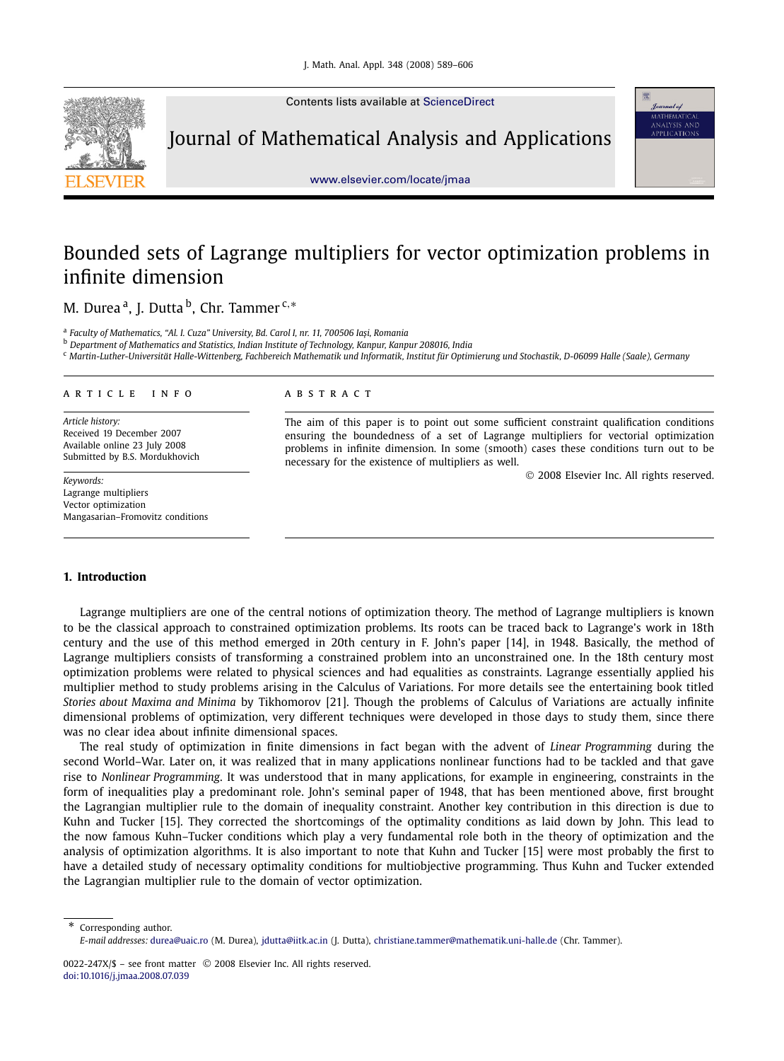

Contents lists available at ScienceDirect

Journal of Mathematical Analysis and Applications



www.elsevier.com/locate/jmaa

# Bounded sets of Lagrange multipliers for vector optimization problems in infinite dimension

M. Durea <sup>a</sup>, J. Dutta <sup>b</sup>, Chr. Tammer <sup>c,</sup>\*

<sup>a</sup> Faculty of Mathematics, "Al. I. Cuza" University, Bd. Carol I, nr. 11, 700506 Iași, Romania

<sup>b</sup> *Department of Mathematics and Statistics, Indian Institute of Technology, Kanpur, Kanpur 208016, India*

<sup>c</sup> *Martin-Luther-Universität Halle-Wittenberg, Fachbereich Mathematik und Informatik, Institut für Optimierung und Stochastik, D-06099 Halle (Saale), Germany*

#### article info abstract

*Article history:* Received 19 December 2007 Available online 23 July 2008 Submitted by B.S. Mordukhovich

*Keywords:* Lagrange multipliers Vector optimization Mangasarian–Fromovitz conditions

The aim of this paper is to point out some sufficient constraint qualification conditions ensuring the boundedness of a set of Lagrange multipliers for vectorial optimization problems in infinite dimension. In some (smooth) cases these conditions turn out to be necessary for the existence of multipliers as well.

2008 Elsevier Inc. All rights reserved.

# **1. Introduction**

Lagrange multipliers are one of the central notions of optimization theory. The method of Lagrange multipliers is known to be the classical approach to constrained optimization problems. Its roots can be traced back to Lagrange's work in 18th century and the use of this method emerged in 20th century in F. John's paper [14], in 1948. Basically, the method of Lagrange multipliers consists of transforming a constrained problem into an unconstrained one. In the 18th century most optimization problems were related to physical sciences and had equalities as constraints. Lagrange essentially applied his multiplier method to study problems arising in the Calculus of Variations. For more details see the entertaining book titled *Stories about Maxima and Minima* by Tikhomorov [21]. Though the problems of Calculus of Variations are actually infinite dimensional problems of optimization, very different techniques were developed in those days to study them, since there was no clear idea about infinite dimensional spaces.

The real study of optimization in finite dimensions in fact began with the advent of *Linear Programming* during the second World–War. Later on, it was realized that in many applications nonlinear functions had to be tackled and that gave rise to *Nonlinear Programming*. It was understood that in many applications, for example in engineering, constraints in the form of inequalities play a predominant role. John's seminal paper of 1948, that has been mentioned above, first brought the Lagrangian multiplier rule to the domain of inequality constraint. Another key contribution in this direction is due to Kuhn and Tucker [15]. They corrected the shortcomings of the optimality conditions as laid down by John. This lead to the now famous Kuhn–Tucker conditions which play a very fundamental role both in the theory of optimization and the analysis of optimization algorithms. It is also important to note that Kuhn and Tucker [15] were most probably the first to have a detailed study of necessary optimality conditions for multiobjective programming. Thus Kuhn and Tucker extended the Lagrangian multiplier rule to the domain of vector optimization.

\* Corresponding author.

*E-mail addresses:* durea@uaic.ro (M. Durea), jdutta@iitk.ac.in (J. Dutta), christiane.tammer@mathematik.uni-halle.de (Chr. Tammer).

<sup>0022-247</sup>X/\$ - see front matter © 2008 Elsevier Inc. All rights reserved. doi:10.1016/j.jmaa.2008.07.039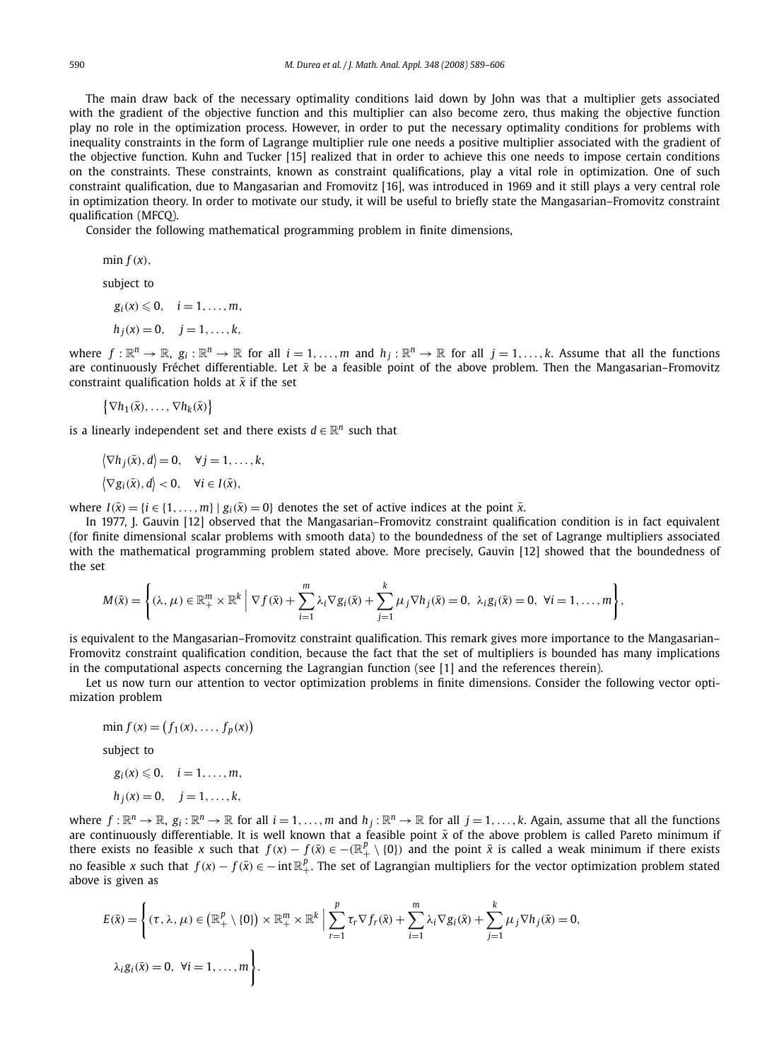The main draw back of the necessary optimality conditions laid down by John was that a multiplier gets associated with the gradient of the objective function and this multiplier can also become zero, thus making the objective function play no role in the optimization process. However, in order to put the necessary optimality conditions for problems with inequality constraints in the form of Lagrange multiplier rule one needs a positive multiplier associated with the gradient of the objective function. Kuhn and Tucker [15] realized that in order to achieve this one needs to impose certain conditions on the constraints. These constraints, known as constraint qualifications, play a vital role in optimization. One of such constraint qualification, due to Mangasarian and Fromovitz [16], was introduced in 1969 and it still plays a very central role in optimization theory. In order to motivate our study, it will be useful to briefly state the Mangasarian–Fromovitz constraint qualification (MFCQ).

Consider the following mathematical programming problem in finite dimensions,

min  $f(x)$ ,

subject to

 $g_i(x) \leq 0, \quad i = 1, \ldots, m,$  $h_i(x) = 0, \quad i = 1, \ldots, k,$ 

where  $f: \mathbb{R}^n \to \mathbb{R}$ ,  $g_i: \mathbb{R}^n \to \mathbb{R}$  for all  $i = 1, ..., m$  and  $h_j: \mathbb{R}^n \to \mathbb{R}$  for all  $j = 1, ..., k$ . Assume that all the functions are continuously Fréchet differentiable. Let  $\bar{x}$  be a feasible point of the above problem. Then the Mangasarian–Fromovitz constraint qualification holds at  $\bar{x}$  if the set

$$
\{\nabla h_1(\bar{x}),\ldots,\nabla h_k(\bar{x})\}
$$

is a linearly independent set and there exists  $d \in \mathbb{R}^n$  such that

$$
\langle \nabla h_j(\bar{x}), d \rangle = 0, \quad \forall j = 1, ..., k,
$$
  

$$
\langle \nabla g_i(\bar{x}), d \rangle < 0, \quad \forall i \in I(\bar{x}),
$$

where  $I(\bar{x}) = \{i \in \{1, ..., m\} | g_i(\bar{x}) = 0\}$  denotes the set of active indices at the point  $\bar{x}$ .

In 1977, J. Gauvin [12] observed that the Mangasarian–Fromovitz constraint qualification condition is in fact equivalent (for finite dimensional scalar problems with smooth data) to the boundedness of the set of Lagrange multipliers associated with the mathematical programming problem stated above. More precisely, Gauvin [12] showed that the boundedness of the set

$$
M(\bar{x}) = \left\{ (\lambda, \mu) \in \mathbb{R}_+^m \times \mathbb{R}^k \middle| \nabla f(\bar{x}) + \sum_{i=1}^m \lambda_i \nabla g_i(\bar{x}) + \sum_{j=1}^k \mu_j \nabla h_j(\bar{x}) = 0, \lambda_i g_i(\bar{x}) = 0, \forall i = 1, ..., m \right\},\
$$

is equivalent to the Mangasarian–Fromovitz constraint qualification. This remark gives more importance to the Mangasarian– Fromovitz constraint qualification condition, because the fact that the set of multipliers is bounded has many implications in the computational aspects concerning the Lagrangian function (see [1] and the references therein).

Let us now turn our attention to vector optimization problems in finite dimensions. Consider the following vector optimization problem

$$
\min f(x) = (f_1(x), \dots, f_p(x))
$$
  
subject to

 $g_i(x) \leq 0, \quad i = 1, \ldots, m,$  $h_1(x) = 0, \quad i = 1, \ldots, k$ 

$$
u_j(x) = 0, \quad j = 1, \dots, \kappa,
$$

where  $f: \mathbb{R}^n \to \mathbb{R}$ ,  $g_i: \mathbb{R}^n \to \mathbb{R}$  for all  $i = 1, ..., m$  and  $h_j: \mathbb{R}^n \to \mathbb{R}$  for all  $j = 1, ..., k$ . Again, assume that all the functions are continuously differentiable. It is well known that a feasible point  $\bar{x}$  of the above problem is called Pareto minimum if there exists no feasible *x* such that  $f(x) - f(\bar{x}) \in -(\mathbb{R}^p_+ \setminus \{0\})$  and the point  $\bar{x}$  is called a weak minimum if there exists no feasible *x* such that  $f(x) - f(\bar{x}) \in -\inf \mathbb{R}^p_+$ . The set of Lagrangian multipliers for the vector optimization problem stated above is given as

$$
E(\bar{x}) = \left\{ (\tau, \lambda, \mu) \in (\mathbb{R}_+^p \setminus \{0\}) \times \mathbb{R}_+^m \times \mathbb{R}^k \mid \sum_{r=1}^p \tau_r \nabla f_r(\bar{x}) + \sum_{i=1}^m \lambda_i \nabla g_i(\bar{x}) + \sum_{j=1}^k \mu_j \nabla h_j(\bar{x}) = 0, \lambda_i g_i(\bar{x}) = 0, \ \forall i = 1, ..., m \right\}.
$$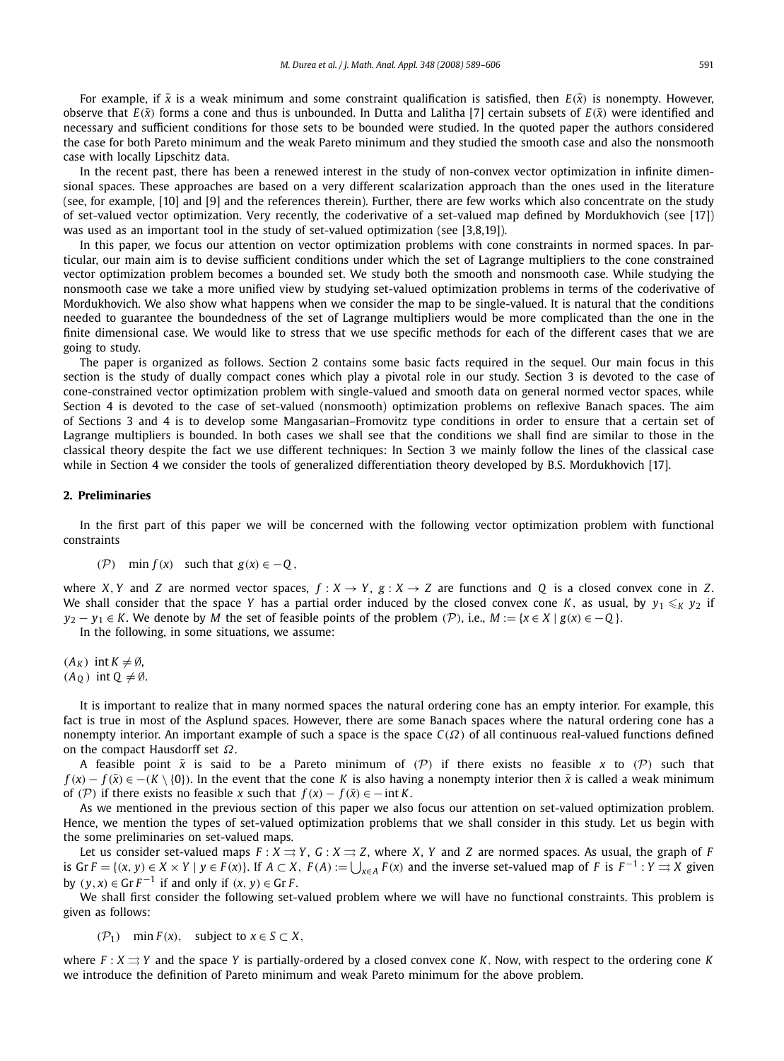For example, if  $\bar{x}$  is a weak minimum and some constraint qualification is satisfied, then  $E(\bar{x})$  is nonempty. However, observe that  $E(\bar{x})$  forms a cone and thus is unbounded. In Dutta and Lalitha [7] certain subsets of  $E(\bar{x})$  were identified and necessary and sufficient conditions for those sets to be bounded were studied. In the quoted paper the authors considered the case for both Pareto minimum and the weak Pareto minimum and they studied the smooth case and also the nonsmooth case with locally Lipschitz data.

In the recent past, there has been a renewed interest in the study of non-convex vector optimization in infinite dimensional spaces. These approaches are based on a very different scalarization approach than the ones used in the literature (see, for example, [10] and [9] and the references therein). Further, there are few works which also concentrate on the study of set-valued vector optimization. Very recently, the coderivative of a set-valued map defined by Mordukhovich (see [17]) was used as an important tool in the study of set-valued optimization (see [3,8,19]).

In this paper, we focus our attention on vector optimization problems with cone constraints in normed spaces. In particular, our main aim is to devise sufficient conditions under which the set of Lagrange multipliers to the cone constrained vector optimization problem becomes a bounded set. We study both the smooth and nonsmooth case. While studying the nonsmooth case we take a more unified view by studying set-valued optimization problems in terms of the coderivative of Mordukhovich. We also show what happens when we consider the map to be single-valued. It is natural that the conditions needed to guarantee the boundedness of the set of Lagrange multipliers would be more complicated than the one in the finite dimensional case. We would like to stress that we use specific methods for each of the different cases that we are going to study.

The paper is organized as follows. Section 2 contains some basic facts required in the sequel. Our main focus in this section is the study of dually compact cones which play a pivotal role in our study. Section 3 is devoted to the case of cone-constrained vector optimization problem with single-valued and smooth data on general normed vector spaces, while Section 4 is devoted to the case of set-valued (nonsmooth) optimization problems on reflexive Banach spaces. The aim of Sections 3 and 4 is to develop some Mangasarian–Fromovitz type conditions in order to ensure that a certain set of Lagrange multipliers is bounded. In both cases we shall see that the conditions we shall find are similar to those in the classical theory despite the fact we use different techniques: In Section 3 we mainly follow the lines of the classical case while in Section 4 we consider the tools of generalized differentiation theory developed by B.S. Mordukhovich [17].

#### **2. Preliminaries**

In the first part of this paper we will be concerned with the following vector optimization problem with functional constraints

$$
(\mathcal{P}) \quad \min f(x) \quad \text{such that } g(x) \in -Q,
$$

where *X*, *Y* and *Z* are normed vector spaces,  $f: X \to Y$ ,  $g: X \to Z$  are functions and *Q* is a closed convex cone in *Z*. We shall consider that the space Y has a partial order induced by the closed convex cone K, as usual, by  $y_1 \leqslant_K y_2$  if *y*<sub>2</sub> − *y*<sub>1</sub> ∈ *K*. We denote by *M* the set of feasible points of the problem  $(\mathcal{P})$ , i.e.,  $M := \{x \in X \mid g(x) \in -Q\}$ .

In the following, in some situations, we assume:

 $(A_K)$  int  $K \neq \emptyset$ ,  $(A_0)$  int  $Q \neq \emptyset$ .

It is important to realize that in many normed spaces the natural ordering cone has an empty interior. For example, this fact is true in most of the Asplund spaces. However, there are some Banach spaces where the natural ordering cone has a nonempty interior. An important example of such a space is the space *C*(Ω) of all continuous real-valued functions defined on the compact Hausdorff set  $\Omega$ .

A feasible point  $\bar{x}$  is said to be a Pareto minimum of (P) if there exists no feasible x to (P) such that  $f(x) - f(\bar{x}) \in -(K \setminus \{0\})$ . In the event that the cone *K* is also having a nonempty interior then  $\bar{x}$  is called a weak minimum of (P) if there exists no feasible *x* such that  $f(x) - f(\bar{x}) \in -\text{int } K$ .

As we mentioned in the previous section of this paper we also focus our attention on set-valued optimization problem. Hence, we mention the types of set-valued optimization problems that we shall consider in this study. Let us begin with the some preliminaries on set-valued maps.

Let us consider set-valued maps  $F : X \rightrightarrows Y$ ,  $G : X \rightrightarrows Z$ , where *X*, *Y* and *Z* are normed spaces. As usual, the graph of *F* is Gr  $F = \{(x, y) \in X \times Y \mid y \in F(x)\}\)$ . If  $A \subset X$ ,  $F(A) := \bigcup_{x \in A} F(x)$  and the inverse set-valued map of F is  $F^{-1} : Y \rightrightarrows X$  given by  $(y, x) \in \mathbb{G} \mathbf{r} F^{-1}$  if and only if  $(x, y) \in \mathbb{G} \mathbf{r} F$ .

We shall first consider the following set-valued problem where we will have no functional constraints. This problem is given as follows:

$$
(\mathcal{P}_1) \quad \min F(x), \quad \text{subject to } x \in S \subset X,
$$

where  $F: X \rightrightarrows Y$  and the space *Y* is partially-ordered by a closed convex cone *K*. Now, with respect to the ordering cone *K* we introduce the definition of Pareto minimum and weak Pareto minimum for the above problem.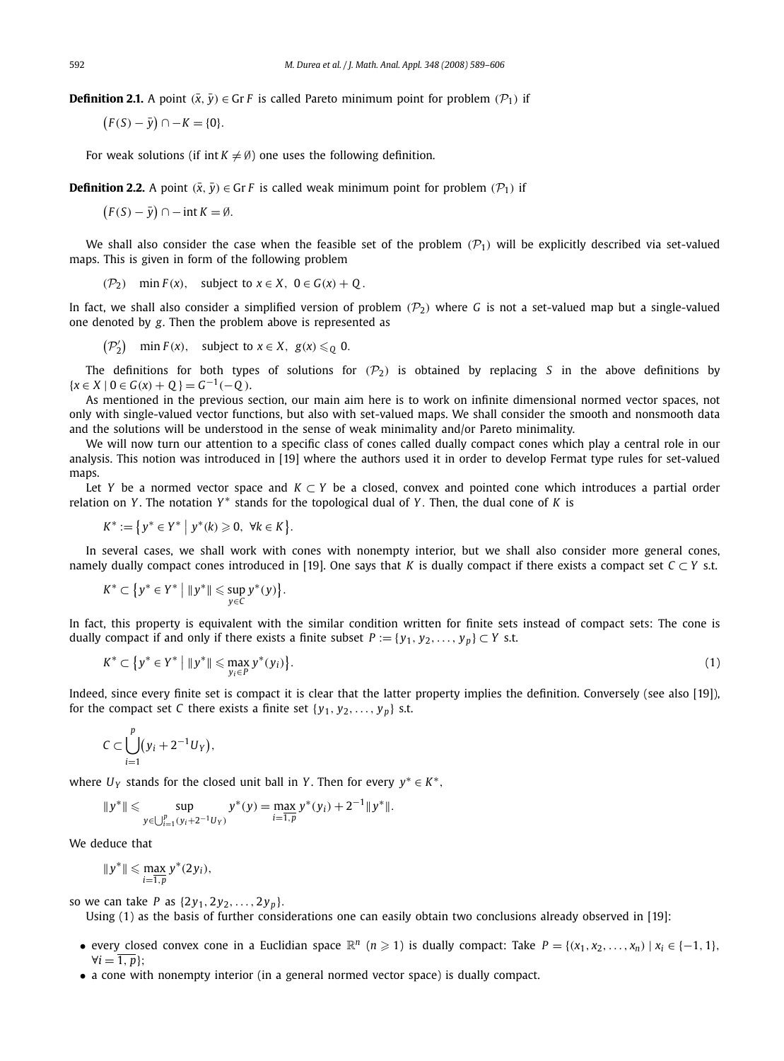**Definition 2.1.** A point  $(\bar{x}, \bar{y}) \in \text{Gr } F$  is called Pareto minimum point for problem  $(\mathcal{P}_1)$  if

$$
(F(S) - \bar{y}) \cap -K = \{0\}.
$$

For weak solutions (if int  $K \neq \emptyset$ ) one uses the following definition.

**Definition 2.2.** A point  $(\bar{x}, \bar{y}) \in \text{Gr } F$  is called weak minimum point for problem  $(\mathcal{P}_1)$  if

 $(F(S) - \bar{y}) \cap -\text{int } K = \emptyset.$ 

We shall also consider the case when the feasible set of the problem  $(\mathcal{P}_1)$  will be explicitly described via set-valued maps. This is given in form of the following problem

( $\mathcal{P}_2$ ) min  $F(x)$ , subject to  $x \in X$ ,  $0 \in G(x) + Q$ .

In fact, we shall also consider a simplified version of problem  $(\mathcal{P}_2)$  where *G* is not a set-valued map but a single-valued one denoted by *g*. Then the problem above is represented as

 $(\mathcal{P}'_2)$  min  $F(x)$ , subject to  $x \in X$ ,  $g(x) \leq Q$  0.

The definitions for both types of solutions for  $(\mathcal{P}_2)$  is obtained by replacing *S* in the above definitions by { $x \in X \mid 0 \in G(x) + Q$ } =  $G^{-1}(-Q)$ .

As mentioned in the previous section, our main aim here is to work on infinite dimensional normed vector spaces, not only with single-valued vector functions, but also with set-valued maps. We shall consider the smooth and nonsmooth data and the solutions will be understood in the sense of weak minimality and/or Pareto minimality.

We will now turn our attention to a specific class of cones called dually compact cones which play a central role in our analysis. This notion was introduced in [19] where the authors used it in order to develop Fermat type rules for set-valued maps.

Let *Y* be a normed vector space and *K* ⊂ *Y* be a closed, convex and pointed cone which introduces a partial order relation on *Y*. The notation *Y*<sup>∗</sup> stands for the topological dual of *Y*. Then, the dual cone of *K* is

$$
K^* := \{ y^* \in Y^* \mid y^*(k) \geq 0, \ \forall k \in K \}.
$$

In several cases, we shall work with cones with nonempty interior, but we shall also consider more general cones, namely dually compact cones introduced in [19]. One says that *K* is dually compact if there exists a compact set  $C \subset Y$  s.t.

$$
K^* \subset \big\{ y^* \in Y^* \bigm| \|y^*\| \leqslant \sup_{y \in C} y^*(y) \big\}.
$$

In fact, this property is equivalent with the similar condition written for finite sets instead of compact sets: The cone is dually compact if and only if there exists a finite subset  $P := \{y_1, y_2, \ldots, y_p\} \subset Y$  s.t.

$$
K^* \subset \big\{ y^* \in Y^* \bigm| \|y^*\| \leqslant \max_{y_i \in P} y^*(y_i) \big\}.
$$

Indeed, since every finite set is compact it is clear that the latter property implies the definition. Conversely (see also [19]), for the compact set *C* there exists a finite set  $\{y_1, y_2, \ldots, y_p\}$  s.t.

$$
C\subset \bigcup_{i=1}^p(y_i+2^{-1}U_Y),
$$

where  $U_Y$  stands for the closed unit ball in *Y*. Then for every  $y^* \in K^*$ ,

$$
||y^*|| \leqslant \sup_{y \in \bigcup_{i=1}^p (y_i + 2^{-1}U_Y)} y^*(y) = \max_{i=1,p} y^*(y_i) + 2^{-1}||y^*||.
$$

We deduce that

$$
||y^*|| \leqslant \max_{i=1,p} y^*(2y_i),
$$

so we can take *P* as  $\{2y_1, 2y_2, ..., 2y_p\}$ .

Using (1) as the basis of further considerations one can easily obtain two conclusions already observed in [19]:

- every closed convex cone in a Euclidian space  $\mathbb{R}^n$  ( $n \ge 1$ ) is dually compact: Take  $P = \{(x_1, x_2, ..., x_n) | x_i \in \{-1, 1\}$ ,  $\forall i = \overline{1, p}$ ;
- a cone with nonempty interior (in a general normed vector space) is dually compact.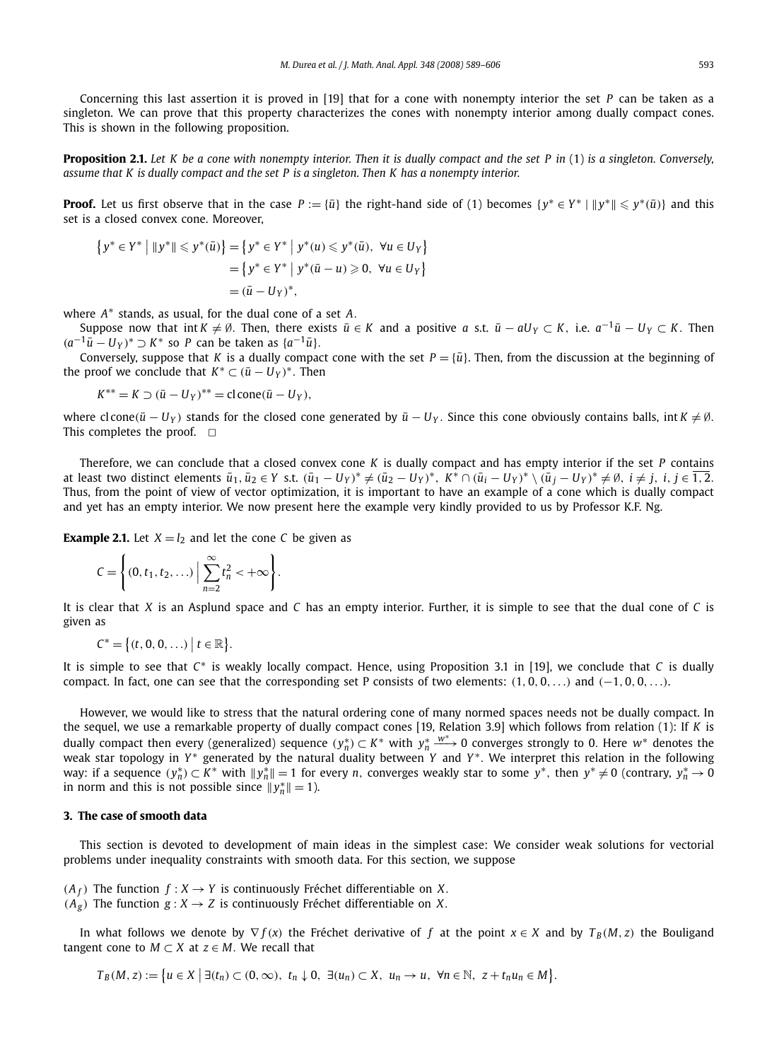Concerning this last assertion it is proved in [19] that for a cone with nonempty interior the set *P* can be taken as a singleton. We can prove that this property characterizes the cones with nonempty interior among dually compact cones. This is shown in the following proposition.

**Proposition 2.1.** *Let K be a cone with nonempty interior. Then it is dually compact and the set P in* (1) *is a singleton. Conversely, assume that K is dually compact and the set P is a singleton. Then K has a nonempty interior.*

**Proof.** Let us first observe that in the case  $P := \{\bar{u}\}\$ the right-hand side of (1) becomes  $\{y^* \in Y^* \mid ||y^*|| \leq y^*(\bar{u})\}$  and this set is a closed convex cone. Moreover,

$$
\{y^* \in Y^* \mid ||y^*|| \leq y^*(\bar{u})\} = \{y^* \in Y^* \mid y^*(u) \leq y^*(\bar{u}), \ \forall u \in U_Y\}
$$
  
= 
$$
\{y^* \in Y^* \mid y^*(\bar{u} - u) \geq 0, \ \forall u \in U_Y\}
$$
  
= 
$$
(\bar{u} - U_Y)^*,
$$

where  $A^*$  stands, as usual, for the dual cone of a set A.

Suppose now that int  $K \neq \emptyset$ . Then, there exists  $\bar{u} \in K$  and a positive *a* s.t.  $\bar{u} - aU_Y \subset K$ , i.e.  $a^{-1}\bar{u} - U_Y \subset K$ . Then  $(a^{-1}\bar{u} - U_Y)^*$  ⊃  $K^*$  so *P* can be taken as  $\{a^{-1}\bar{u}\}.$ 

Conversely, suppose that *K* is a dually compact cone with the set  $P = \{\bar{u}\}\$ . Then, from the discussion at the beginning of the proof we conclude that  $K^* \subset (\bar{u} - U_Y)^*$ . Then

$$
K^{**} = K \supset (\bar{u} - U_Y)^{**} = \text{cl cone}(\bar{u} - U_Y),
$$

where cl cone( $\bar{u} - U_Y$ ) stands for the closed cone generated by  $\bar{u} - U_Y$ . Since this cone obviously contains balls, int  $K \neq \emptyset$ . This completes the proof.  $\Box$ 

Therefore, we can conclude that a closed convex cone *K* is dually compact and has empty interior if the set *P* contains at least two distinct elements  $\bar{u}_1, \bar{u}_2 \in Y$  s.t.  $(\bar{u}_1 - U_Y)^* \neq (\bar{u}_2 - U_Y)^*$ ,  $K^* \cap (\bar{u}_i - U_Y)^* \setminus (\bar{u}_j - U_Y)^* \neq \emptyset$ ,  $i \neq j$ ,  $i, j \in \overline{1,2}$ . Thus, from the point of view of vector optimization, it is important to have an example of a cone which is dually compact and yet has an empty interior. We now present here the example very kindly provided to us by Professor K.F. Ng.

**Example 2.1.** Let  $X = l_2$  and let the cone *C* be given as

$$
C=\left\{(0,t_1,t_2,\ldots)\,\Big|\,\sum_{n=2}^\infty t_n^2<+\infty\right\}.
$$

It is clear that *X* is an Asplund space and *C* has an empty interior. Further, it is simple to see that the dual cone of *C* is given as

$$
C^* = \big\{ (t, 0, 0, \ldots) \ \big| \ t \in \mathbb{R} \big\}.
$$

It is simple to see that *C*<sup>∗</sup> is weakly locally compact. Hence, using Proposition 3.1 in [19], we conclude that *C* is dually compact. In fact, one can see that the corresponding set P consists of two elements:  $(1, 0, 0, \ldots)$  and  $(-1, 0, 0, \ldots)$ .

However, we would like to stress that the natural ordering cone of many normed spaces needs not be dually compact. In the sequel, we use a remarkable property of dually compact cones [19, Relation 3.9] which follows from relation (1): If *K* is dually compact then every (generalized) sequence  $(y_n^*) \subset K^*$  with  $y_n^* \xrightarrow{w^*} 0$  converges strongly to 0. Here  $w^*$  denotes the weak star topology in *Y*<sup>∗</sup> generated by the natural duality between *Y* and *Y*<sup>\*</sup>. We interpret this relation in the following way: if a sequence  $(y_n^*) \subset K^*$  with  $||y_n^*|| = 1$  for every *n*, converges weakly star to some  $y^*$ , then  $y^* \neq 0$  (contrary,  $y_n^* \to 0$ in norm and this is not possible since  $||y_n^*|| = 1$ ).

# **3. The case of smooth data**

This section is devoted to development of main ideas in the simplest case: We consider weak solutions for vectorial problems under inequality constraints with smooth data. For this section, we suppose

 $(A_f)$  The function  $f: X \rightarrow Y$  is continuously Fréchet differentiable on X.

 $(A_g)$  The function  $g: X \rightarrow Z$  is continuously Fréchet differentiable on *X*.

In what follows we denote by  $\nabla f(x)$  the Fréchet derivative of *f* at the point  $x \in X$  and by  $T_B(M, z)$  the Bouligand tangent cone to  $M \subset X$  at  $z \in M$ . We recall that

 $T_B(M, z) := \big\{ u \in X \mid \exists (t_n) \subset (0, \infty), t_n \downarrow 0, \exists (u_n) \subset X, u_n \to u, \forall n \in \mathbb{N}, z + t_n u_n \in M \big\}.$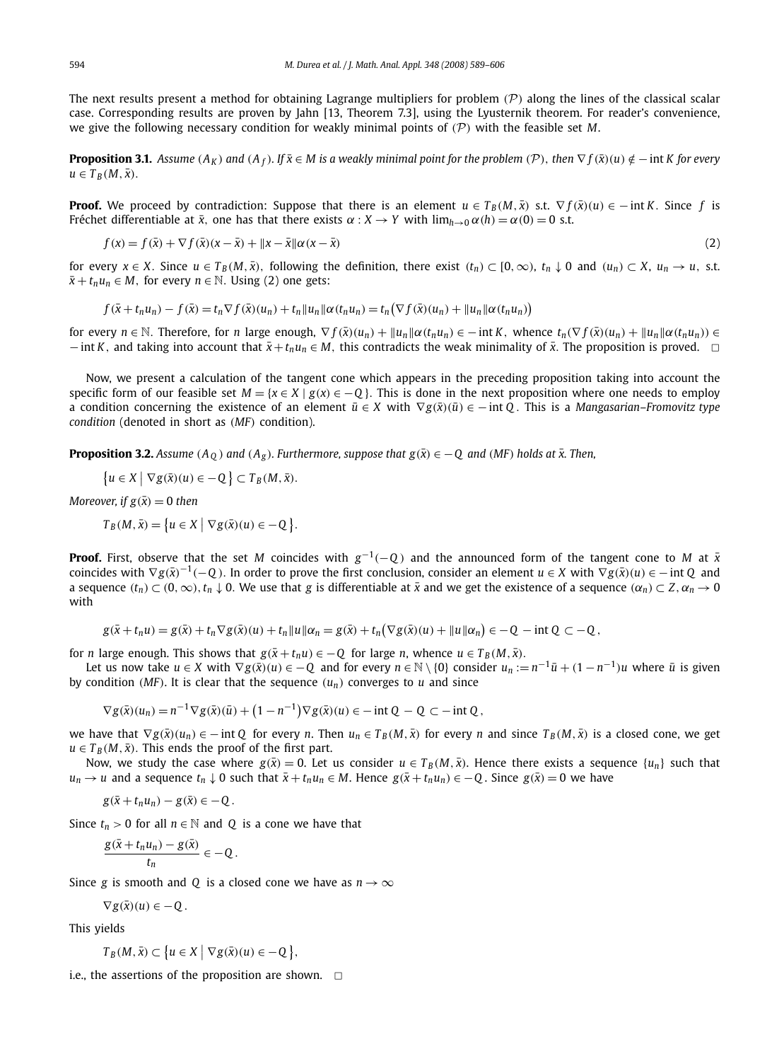The next results present a method for obtaining Lagrange multipliers for problem  $(P)$  along the lines of the classical scalar case. Corresponding results are proven by Jahn [13, Theorem 7.3], using the Lyusternik theorem. For reader's convenience, we give the following necessary condition for weakly minimal points of  $(\mathcal{P})$  with the feasible set M.

**Proposition 3.1.** Assume  $(A_K)$  and  $(A_f)$ . If  $\bar{x} \in M$  is a weakly minimal point for the problem  $(\mathcal{P})$ , then  $\nabla f(\bar{x})(u) \notin -\inf K$  for every  $u \in T_B(M, \bar{x}).$ 

**Proof.** We proceed by contradiction: Suppose that there is an element  $u \in T_B(M, \bar{x})$  s.t.  $\nabla f(\bar{x})(u) \in -\inf K$ . Since f is Fréchet differentiable at  $\bar{x}$ , one has that there exists  $\alpha : X \to Y$  with  $\lim_{h\to 0} \alpha(h) = \alpha(0) = 0$  s.t.

$$
f(x) = f(\bar{x}) + \nabla f(\bar{x})(x - \bar{x}) + \|x - \bar{x}\| \alpha(x - \bar{x})
$$
\n(2)

for every  $x \in X$ . Since  $u \in T_B(M, \bar{x})$ , following the definition, there exist  $(t_n) \subset [0, \infty)$ ,  $t_n \downarrow 0$  and  $(u_n) \subset X$ ,  $u_n \to u$ , s.t.  $\bar{x} + t_n u_n \in M$ , for every  $n \in \mathbb{N}$ . Using (2) one gets:

$$
f(\bar{x}+t_nu_n)-f(\bar{x})=t_n\nabla f(\bar{x})(u_n)+t_n||u_n||\alpha(t_nu_n)=t_n(\nabla f(\bar{x})(u_n)+||u_n||\alpha(t_nu_n))
$$

for every  $n \in \mathbb{N}$ . Therefore, for n large enough,  $\nabla f(\bar{x})(u_n) + ||u_n|| \alpha(t_n u_n) \in -\text{int } K$ , whence  $t_n(\nabla f(\bar{x})(u_n) + ||u_n|| \alpha(t_n u_n)) \in$  $-$  int *K*, and taking into account that  $\bar{x}+t_nu_n \in M$ , this contradicts the weak minimality of  $\bar{x}$ . The proposition is proved.  $□$ 

Now, we present a calculation of the tangent cone which appears in the preceding proposition taking into account the specific form of our feasible set  $M = \{x \in X \mid g(x) \in -Q\}$ . This is done in the next proposition where one needs to employ a condition concerning the existence of an element  $\bar{u} \in X$  with  $\nabla g(\bar{x})(\bar{u}) \in -\text{int } Q$ . This is a *Mangasarian–Fromovitz type condition* (denoted in short as (*MF*) condition).

**Proposition 3.2.** *Assume* ( $A_0$ ) and ( $A_g$ ). *Furthermore, suppose that*  $g(\bar{x}) \in -0$  and (*MF*) *holds at*  $\bar{x}$ . *Then,* 

$$
\{u \in X \mid \nabla g(\bar{x})(u) \in -Q\} \subset T_B(M, \bar{x}).
$$

*Moreover, if*  $g(\bar{x}) = 0$  *then* 

 $T_B(M, \bar{x}) = \{u \in X \mid \nabla g(\bar{x})(u) \in -Q \}.$ 

**Proof.** First, observe that the set *M* coincides with  $g^{-1}(-Q)$  and the announced form of the tangent cone to *M* at  $\bar{x}$ coincides with  $\nabla g(\bar{x})^{-1}(-Q)$ . In order to prove the first conclusion, consider an element  $u \in X$  with  $\nabla g(\bar{x})(u) \in -\inf Q$  and a sequence  $(t_n) \subset (0,\infty), t_n \downarrow 0$ . We use that *g* is differentiable at  $\bar{x}$  and we get the existence of a sequence  $(\alpha_n) \subset Z$ ,  $\alpha_n \to 0$ with

$$
g(\bar{x}+t_nu)=g(\bar{x})+t_n\nabla g(\bar{x})(u)+t_n||u||\alpha_n=g(\bar{x})+t_n(\nabla g(\bar{x})(u)+||u||\alpha_n)\in-Q-\mathrm{int}\,Q\subset-Q,
$$

for *n* large enough. This shows that  $g(\bar{x} + t_n u) \in -Q$  for large *n*, whence  $u \in T_B(M, \bar{x})$ .

Let us now take *u* ∈ *X* with  $\nabla g(\bar{x})(u) \in -Q$  and for every  $n \in \mathbb{N} \setminus \{0\}$  consider  $u_n := n^{-1}\bar{u} + (1 - n^{-1})u$  where  $\bar{u}$  is given by condition (*MF*). It is clear that the sequence  $(u_n)$  converges to  $u$  and since

$$
\nabla g(\bar{x})(u_n) = n^{-1} \nabla g(\bar{x})(\bar{u}) + (1 - n^{-1}) \nabla g(\bar{x})(u) \in -\text{int } Q - Q \subset -\text{int } Q,
$$

we have that  $\nabla g(\bar{x})(u_n) \in -\inf Q$  for every n. Then  $u_n \in T_B(M, \bar{x})$  for every n and since  $T_B(M, \bar{x})$  is a closed cone, we get  $u \in T_B(M, \bar{x})$ . This ends the proof of the first part.

Now, we study the case where  $g(\bar{x}) = 0$ . Let us consider  $u \in T_B(M, \bar{x})$ . Hence there exists a sequence  $\{u_n\}$  such that  $u_n \to u$  and a sequence  $t_n \downarrow 0$  such that  $\bar{x} + t_n u_n \in M$ . Hence  $g(\bar{x} + t_n u_n) \in -Q$ . Since  $g(\bar{x}) = 0$  we have

$$
g(\bar{x}+t_nu_n)-g(\bar{x})\in-Q.
$$

Since  $t_n > 0$  for all  $n \in \mathbb{N}$  and *Q* is a cone we have that

$$
\frac{g(\bar{x}+t_nu_n)-g(\bar{x})}{t_n}\in-Q.
$$

Since *g* is smooth and *Q* is a closed cone we have as  $n \rightarrow \infty$ 

$$
\nabla g(\bar{x})(u) \in -Q.
$$

This yields

$$
T_B(M, \bar{x}) \subset \big\{ u \in X \mid \nabla g(\bar{x})(u) \in -Q \big\},\
$$

i.e., the assertions of the proposition are shown.  $\Box$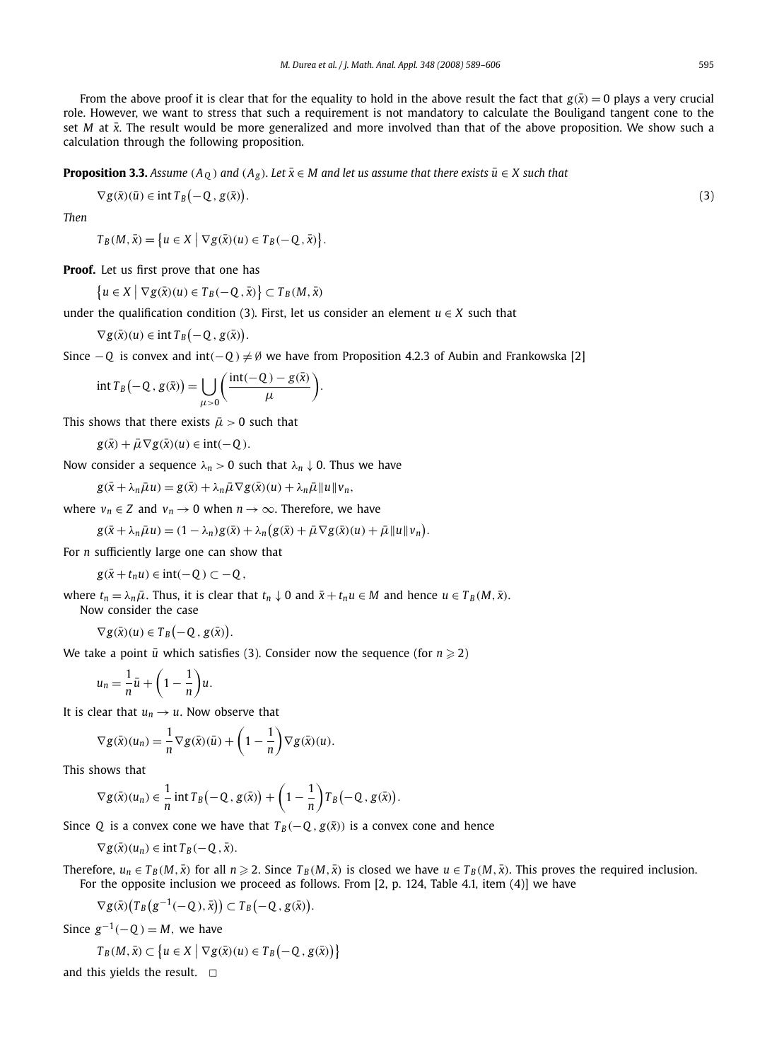From the above proof it is clear that for the equality to hold in the above result the fact that  $g(\bar{x}) = 0$  plays a very crucial role. However, we want to stress that such a requirement is not mandatory to calculate the Bouligand tangent cone to the set *M* at  $\bar{x}$ . The result would be more generalized and more involved than that of the above proposition. We show such a calculation through the following proposition.

**Proposition 3.3.** *Assume* ( $A_0$ ) and ( $A_g$ ). Let  $\bar{x} \in M$  and let us assume that there exists  $\bar{u} \in X$  such that

$$
\nabla g(\bar{x})(\bar{u}) \in \mathrm{int} T_B(-Q, g(\bar{x})).
$$

*Then*

$$
T_B(M,\bar{x}) = \big\{ u \in X \mid \nabla g(\bar{x})(u) \in T_B(-Q,\bar{x}) \big\}.
$$

**Proof.** Let us first prove that one has

 $\{u \in X \mid \nabla g(\bar{x})(u) \in T_B(-Q, \bar{x})\} \subset T_B(M, \bar{x})$ 

under the qualification condition (3). First, let us consider an element  $u \in X$  such that

$$
\nabla g(\bar{x})(u) \in \mathrm{int} T_B(-Q, g(\bar{x})).
$$

Since  $-Q$  is convex and int( $-Q$ )  $\neq$  Ø we have from Proposition 4.2.3 of Aubin and Frankowska [2]

$$
\inf T_B(-Q, g(\bar{x})) = \bigcup_{\mu > 0} \left( \frac{\operatorname{int}(-Q) - g(\bar{x})}{\mu} \right).
$$

This shows that there exists  $\bar{\mu} > 0$  such that

 $g(\bar{x}) + \bar{\mu} \nabla g(\bar{x})(u) \in \text{int}(-Q)$ .

Now consider a sequence  $\lambda_n > 0$  such that  $\lambda_n \downarrow 0$ . Thus we have

 $g(\bar{x} + \lambda_n \bar{\mu} u) = g(\bar{x}) + \lambda_n \bar{\mu} \nabla g(\bar{x})(u) + \lambda_n \bar{\mu} ||u|| v_n$ 

where  $v_n \in Z$  and  $v_n \to 0$  when  $n \to \infty$ . Therefore, we have

 $g(\bar{x} + \lambda_n \bar{\mu} u) = (1 - \lambda_n)g(\bar{x}) + \lambda_n(g(\bar{x}) + \bar{\mu} \nabla g(\bar{x})(u) + \bar{\mu} ||u|| v_n).$ 

For *n* sufficiently large one can show that

*g*( $\bar{x}$  +  $t_n u$ ) ∈ int(-Q) ⊂ − Q,

where  $t_n = \lambda_n \bar{\mu}$ . Thus, it is clear that  $t_n \downarrow 0$  and  $\bar{x} + t_n u \in M$  and hence  $u \in T_B(M, \bar{x})$ . Now consider the case

$$
\nabla g(\bar{x})(u) \in T_B(-Q, g(\bar{x})).
$$

We take a point  $\bar{u}$  which satisfies (3). Consider now the sequence (for  $n \geq 2$ )

$$
u_n=\frac{1}{n}\bar{u}+\left(1-\frac{1}{n}\right)u.
$$

It is clear that  $u_n \rightarrow u$ . Now observe that

$$
\nabla g(\bar{x})(u_n) = \frac{1}{n} \nabla g(\bar{x})(\bar{u}) + \left(1 - \frac{1}{n}\right) \nabla g(\bar{x})(u).
$$

This shows that

$$
\nabla g(\bar{x})(u_n) \in \frac{1}{n} \operatorname{int} T_B(-Q, g(\bar{x})) + \left(1 - \frac{1}{n}\right) T_B(-Q, g(\bar{x}))
$$

Since *Q* is a convex cone we have that  $T_B(-Q, g(\bar{x}))$  is a convex cone and hence

 $\nabla g(\bar{x})(u_n) \in \text{int } T_B(-Q, \bar{x}).$ 

Therefore,  $u_n \in T_B(M, \bar{x})$  for all  $n \ge 2$ . Since  $T_B(M, \bar{x})$  is closed we have  $u \in T_B(M, \bar{x})$ . This proves the required inclusion. For the opposite inclusion we proceed as follows. From [2, p. 124, Table 4.1, item (4)] we have

.

$$
\nabla g(\bar{x})\big(T_B(g^{-1}(-Q),\bar{x})\big) \subset T_B(-Q,g(\bar{x})).
$$

Since  $g^{-1}(-Q) = M$ , we have

$$
T_B(M, \bar{x}) \subset \left\{ u \in X \mid \nabla g(\bar{x})(u) \in T_B(-Q, g(\bar{x})) \right\}
$$

and this yields the result.  $\Box$ 

.  $\hspace{1.6cm} (3)$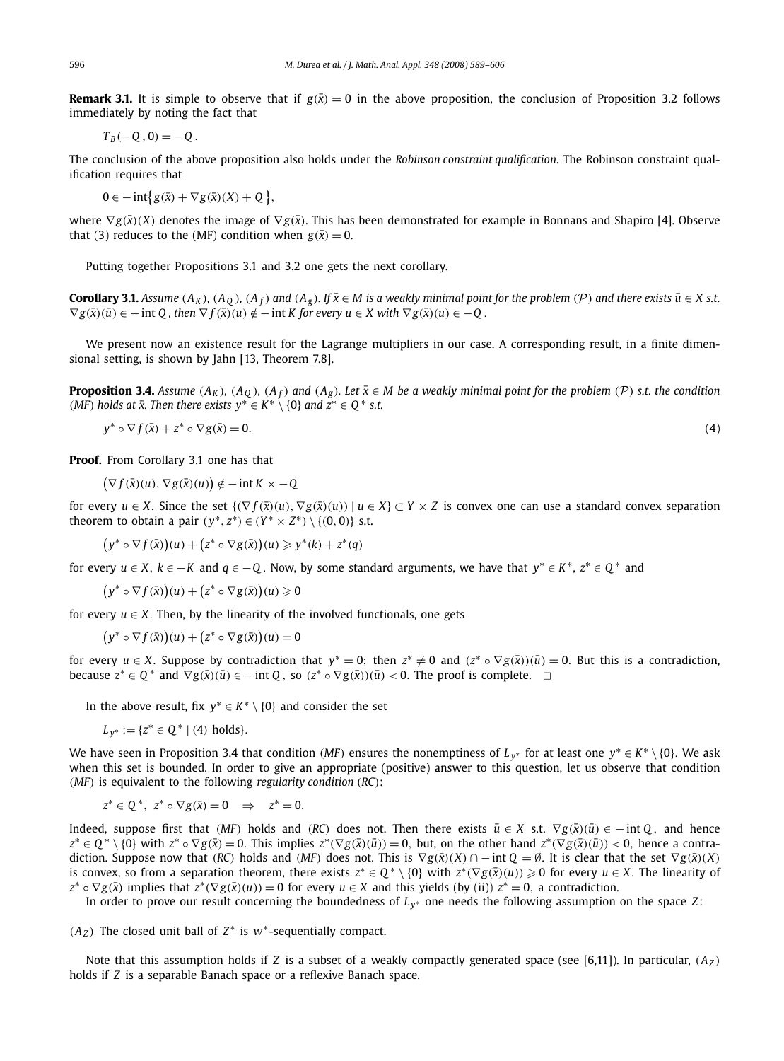**Remark 3.1.** It is simple to observe that if  $g(\bar{x}) = 0$  in the above proposition, the conclusion of Proposition 3.2 follows immediately by noting the fact that

$$
T_B(-Q,0)=-Q.
$$

The conclusion of the above proposition also holds under the *Robinson constraint qualification*. The Robinson constraint qualification requires that

 $0 \in -\inf\{g(\bar{x}) + \nabla g(\bar{x})(X) + Q\},\$ 

where  $∇g(\bar{x})$ (*X*) denotes the image of  $∇g(\bar{x})$ . This has been demonstrated for example in Bonnans and Shapiro [4]. Observe that (3) reduces to the (MF) condition when  $g(\bar{x}) = 0$ .

Putting together Propositions 3.1 and 3.2 one gets the next corollary.

**Corollary 3.1.** Assume  $(A_K)$ ,  $(A_0)$ ,  $(A_f)$  and  $(A_g)$ . If  $\bar{x} \in M$  is a weakly minimal point for the problem  $(\mathcal{P})$  and there exists  $\bar{u} \in X$  s.t.  $\nabla g(\bar{x})(\bar{u}) \in -\text{int } Q$ , then  $\nabla f(\bar{x})(u) \notin -\text{int } K$  for every  $u \in X$  with  $\nabla g(\bar{x})(u) \in -Q$ .

We present now an existence result for the Lagrange multipliers in our case. A corresponding result, in a finite dimensional setting, is shown by Jahn [13, Theorem 7.8].

**Proposition 3.4.** Assume  $(A_K)$ ,  $(A_0)$ ,  $(A_f)$  and  $(A_g)$ . Let  $\bar{x} \in M$  be a weakly minimal point for the problem  $(\mathcal{P})$  s.t. the condition (*MF*) holds at  $\bar{x}$ . Then there exists  $y^* \in K^* \setminus \{0\}$  and  $z^* \in Q^*$  s.t.

$$
y^* \circ \nabla f(\bar{x}) + z^* \circ \nabla g(\bar{x}) = 0. \tag{4}
$$

**Proof.** From Corollary 3.1 one has that

 $(\nabla f(\bar{x})(u), \nabla g(\bar{x})(u)) \notin -\text{int } K \times -Q$ 

for every  $u \in X$ . Since the set  $\{\nabla f(\bar{x})(u), \nabla g(\bar{x})(u)\}\n\mid u \in X\} \subset Y \times Z$  is convex one can use a standard convex separation theorem to obtain a pair  $(y^*, z^*) \in (Y^* \times Z^*) \setminus \{(0, 0)\}$  s.t.

 $(y^* \circ \nabla f(\bar{x}))(u) + (z^* \circ \nabla g(\bar{x}))(u) \geq y^*(k) + z^*(q)$ 

for every  $u \in X$ ,  $k \in -K$  and  $q \in -Q$ . Now, by some standard arguments, we have that  $y^* \in K^*$ ,  $z^* \in Q^*$  and

 $(y^* \circ \nabla f(\bar{x}))(u) + (z^* \circ \nabla g(\bar{x}))(u) \geq 0$ 

for every  $u \in X$ . Then, by the linearity of the involved functionals, one gets

 $(y^* \circ \nabla f(\bar{x}))(u) + (z^* \circ \nabla g(\bar{x}))(u) = 0$ 

for every  $u \in X$ . Suppose by contradiction that  $y^* = 0$ ; then  $z^* \neq 0$  and  $(z^* \circ \nabla g(\bar{x}))(\bar{u}) = 0$ . But this is a contradiction, because  $z^* \in Q^*$  and  $\nabla g(\bar{x})(\bar{u}) \in -\text{int } Q$ , so  $(z^* \circ \nabla g(\bar{x}))(\bar{u}) < 0$ . The proof is complete.  $\Box$ 

In the above result, fix  $y^* \in K^* \setminus \{0\}$  and consider the set

 $L_{y^*} := \{z^* \in \mathbb{Q}^* \mid (4) \text{ holds}\}.$ 

We have seen in Proposition 3.4 that condition (*MF*) ensures the nonemptiness of  $L_{y^*}$  for at least one  $y^* \in K^* \setminus \{0\}$ . We ask when this set is bounded. In order to give an appropriate (positive) answer to this question, let us observe that condition (*MF*) is equivalent to the following *regularity condition* (*RC*):

$$
z^* \in Q^*, \ z^* \circ \nabla g(\bar{x}) = 0 \quad \Rightarrow \quad z^* = 0.
$$

Indeed, suppose first that (*MF*) holds and (*RC*) does not. Then there exists  $\bar{u} \in X$  s.t.  $\nabla g(\bar{x})(\bar{u}) \in -\inf Q$ , and hence  $z^* \in Q^* \setminus \{0\}$  with  $z^* \circ \nabla g(\bar{x}) = 0$ . This implies  $z^* (\nabla g(\bar{x})(\bar{u})) = 0$ , but, on the other hand  $z^* (\nabla g(\bar{x})(\bar{u})) < 0$ , hence a contradiction. Suppose now that (*RC*) holds and (*MF*) does not. This is  $\nabla g(\bar{x})(X) \cap -\text{int } Q = \emptyset$ . It is clear that the set  $\nabla g(\bar{x})(X)$ is convex, so from a separation theorem, there exists  $z^* \in Q^* \setminus \{0\}$  with  $z^* (\nabla g(\bar{x})(u)) \geq 0$  for every  $u \in X$ . The linearity of  $z^* \circ \nabla g(\bar{x})$  implies that  $z^* (\nabla g(\bar{x})(u)) = 0$  for every  $u \in X$  and this yields (by (ii))  $z^* = 0$ , a contradiction.

In order to prove our result concerning the boundedness of *L <sup>y</sup>* <sup>∗</sup> one needs the following assumption on the space *Z*:

 $(A_Z)$  The closed unit ball of  $Z^*$  is  $w^*$ -sequentially compact.

Note that this assumption holds if *Z* is a subset of a weakly compactly generated space (see [6,11]). In particular,  $(A<sub>Z</sub>)$ holds if *Z* is a separable Banach space or a reflexive Banach space.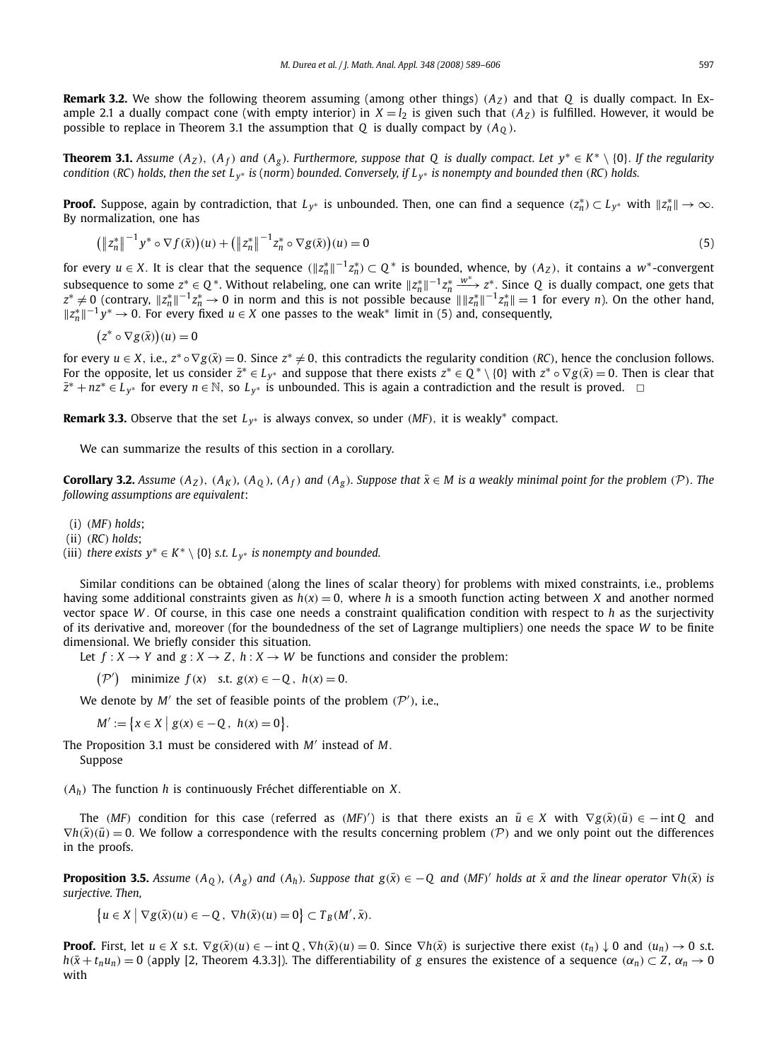**Remark 3.2.** We show the following theorem assuming (among other things)  $(A_Z)$  and that Q is dually compact. In Example 2.1 a dually compact cone (with empty interior) in  $X = l_2$  is given such that  $(A_Z)$  is fulfilled. However, it would be possible to replace in Theorem 3.1 the assumption that *Q* is dually compact by  $(A<sub>0</sub>)$ .

**Theorem 3.1.** *Assume* ( $A_Z$ ), ( $A_f$ ) and ( $A_g$ ). Furthermore, suppose that Q is dually compact. Let  $y^* \in K^* \setminus \{0\}$ . If the regularity *condition* (*RC*) *holds, then the set L <sup>y</sup>* <sup>∗</sup> *is* (*norm*) *bounded. Conversely, if L <sup>y</sup>* <sup>∗</sup> *is nonempty and bounded then* (*RC*) *holds.*

**Proof.** Suppose, again by contradiction, that  $L_{y^*}$  is unbounded. Then, one can find a sequence  $(z_n^*) \subset L_{y^*}$  with  $||z_n^*|| \to \infty$ . By normalization, one has

$$
\left(\left\|z_{n}^{*}\right\|^{-1} y^{*} \circ \nabla f(\bar{x})\right)(u) + \left(\left\|z_{n}^{*}\right\|^{-1} z_{n}^{*} \circ \nabla g(\bar{x})\right)(u) = 0\tag{5}
$$

for every  $u \in X$ . It is clear that the sequence  $(\|z^*_n\|^{-1}z^*_n) \subset Q^*$  is bounded, whence, by  $(A_Z)$ , it contains a w\*-convergent subsequence to some  $z^* \in Q^*$ . Without relabeling, one can write  $||z_n^*||^{-1}z_n^* \xrightarrow{w^*} z^*$ . Since Q is dually compact, one gets that  $z^* \neq 0$  (contrary,  $||z_n^*||^{-1}z_n^* \to 0$  in norm and this is not possible because  $||||z_n^*||^{-1}z_n^*|| = 1$  for every *n*). On the other hand,  $||z_n^*||^{-1}y^* \to 0$ . For every fixed  $u \in X$  one passes to the weak<sup>\*</sup> limit in (5) and, consequently,

$$
(z^* \circ \nabla g(\bar{x}))(u) = 0
$$

for every  $u \in X$ , i.e.,  $z^* \circ \nabla g(\bar{x}) = 0$ . Since  $z^* \neq 0$ , this contradicts the regularity condition (*RC*), hence the conclusion follows. For the opposite, let us consider  $\bar{z}^* \in L_{y^*}$  and suppose that there exists  $z^* \in Q^* \setminus \{0\}$  with  $z^* \circ \nabla g(\bar{x}) = 0$ . Then is clear that *z*<sup>\*</sup> + *nz*<sup>\*</sup> ∈ *L*<sub>*y*\*</sub> for every *n* ∈ N, so *L*<sub>*y*\*</sub> is unbounded. This is again a contradiction and the result is proved.  $\Box$ 

**Remark 3.3.** Observe that the set  $L_{y^*}$  is always convex, so under (*MF*), it is weakly<sup>\*</sup> compact.

We can summarize the results of this section in a corollary.

**Corollary 3.2.** Assume  $(A_Z)$ ,  $(A_K)$ ,  $(A_Q)$ ,  $(A_f)$  and  $(A_g)$ . Suppose that  $\bar{x} \in M$  is a weakly minimal point for the problem (P). The *following assumptions are equivalent*:

- (i) (*MF*) *holds*;
- (ii) (*RC*) *holds*;

(iii) *there exists*  $y^* \in K^* \setminus \{0\}$  *s.t.*  $L_{y^*}$  *is nonempty and bounded.* 

Similar conditions can be obtained (along the lines of scalar theory) for problems with mixed constraints, i.e., problems having some additional constraints given as *h*(*x*) = 0, where *h* is a smooth function acting between *X* and another normed vector space *W* . Of course, in this case one needs a constraint qualification condition with respect to *h* as the surjectivity of its derivative and, moreover (for the boundedness of the set of Lagrange multipliers) one needs the space *W* to be finite dimensional. We briefly consider this situation.

Let  $f: X \rightarrow Y$  and  $g: X \rightarrow Z$ ,  $h: X \rightarrow W$  be functions and consider the problem:

 $({\cal P}')$  minimize  $f(x)$  s.t.  $g(x) \in -Q$ ,  $h(x) = 0$ .

We denote by  $M'$  the set of feasible points of the problem  $(\mathcal{P}')$ , i.e.,

 $M' := \{x \in X \mid g(x) \in -Q, h(x) = 0\}.$ 

The Proposition 3.1 must be considered with *M*′ instead of *M*. Suppose

(*Ah*) The function *h* is continuously Fréchet differentiable on *X*.

The (*MF*) condition for this case (referred as (*MF*)') is that there exists an  $\bar{u} \in X$  with  $\nabla g(\bar{x})(\bar{u}) \in -\inf Q$  and  $\nabla h(\bar{x}) (\bar{u}) = 0$ . We follow a correspondence with the results concerning problem (P) and we only point out the differences in the proofs.

**Proposition 3.5.** Assume  $(A_Q)$ ,  $(A_g)$  and  $(A_h)$ . Suppose that  $g(\bar{x}) \in -Q$  and  $(MF)'$  holds at  $\bar{x}$  and the linear operator  $\nabla h(\bar{x})$  is *surjective. Then,*

 $\{u \in X \mid \nabla g(\bar{x})(u) \in -Q, \nabla h(\bar{x})(u) = 0\} \subset T_B(M', \bar{x}).$ 

**Proof.** First, let  $u \in X$  s.t.  $\nabla g(\bar{x})(u) \in -\text{int } 0$ ,  $\nabla h(\bar{x})(u) = 0$ . Since  $\nabla h(\bar{x})$  is surjective there exist  $(t_n) \downarrow 0$  and  $(u_n) \rightarrow 0$  s.t.  $h(\bar{x} + t_n u_n) = 0$  (apply [2, Theorem 4.3.3]). The differentiability of *g* ensures the existence of a sequence ( $\alpha_n$ ) ⊂ *Z*,  $\alpha_n \to 0$ with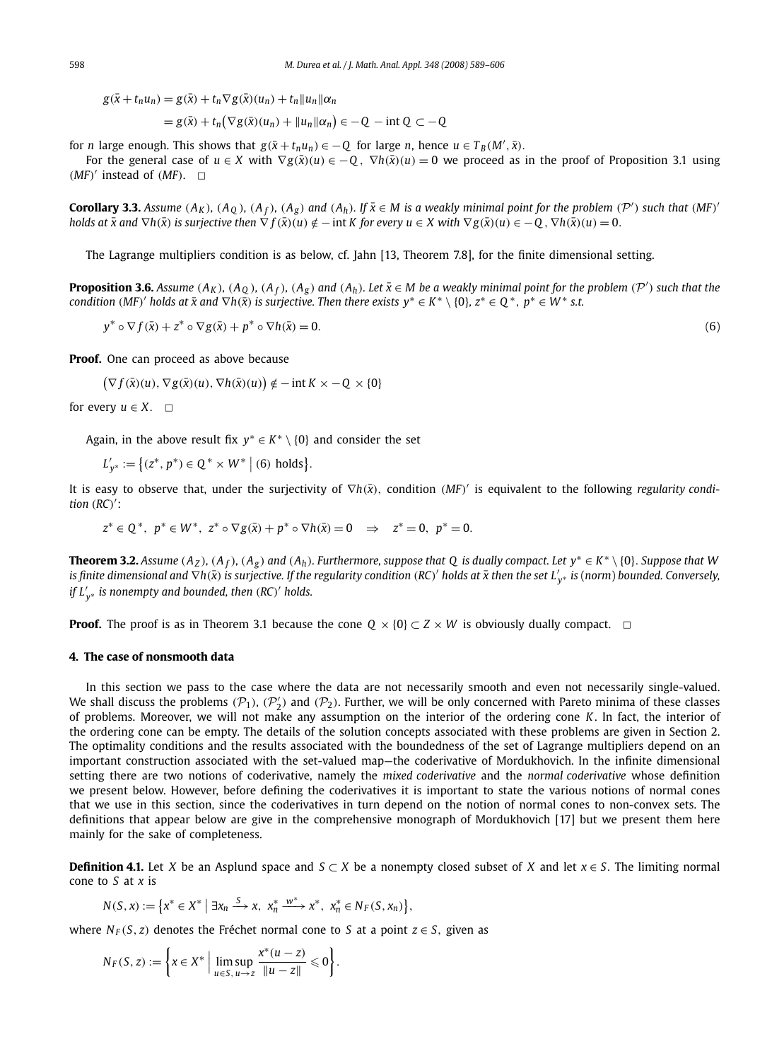$g(\bar{x} + t_n u_n) = g(\bar{x}) + t_n \nabla g(\bar{x})(u_n) + t_n ||u_n|| \alpha_n$ 

$$
= g(\bar{x}) + t_n \big( \nabla g(\bar{x})(u_n) + ||u_n|| \alpha_n \big) \in -Q - \text{int } Q \subset -Q
$$

for *n* large enough. This shows that  $g(\bar{x} + t_n u_n) \in -Q$  for large *n*, hence  $u \in T_B(M',\bar{x})$ .

For the general case of  $u \in X$  with  $\nabla g(\bar{x})(u) \in -Q$ ,  $\nabla h(\bar{x})(u) = 0$  we proceed as in the proof of Proposition 3.1 using  $(MF)'$  instead of  $(MF)$ .  $\Box$ 

**Corollary 3.3.** Assume  $(A_K)$ ,  $(A_Q)$ ,  $(A_f)$ ,  $(A_g)$  and  $(A_h)$ . If  $\bar{x} \in M$  is a weakly minimal point for the problem  $(\mathcal{P}')$  such that  $(MF)'$ holds at  $\bar{x}$  and  $\nabla h(\bar{x})$  is surjective then  $\nabla f(\bar{x})(u) \notin -$  int K for every  $u \in X$  with  $\nabla g(\bar{x})(u) \in -0$ ,  $\nabla h(\bar{x})(u) = 0$ .

The Lagrange multipliers condition is as below, cf. Jahn [13, Theorem 7.8], for the finite dimensional setting.

**Proposition 3.6.** Assume  $(A_K)$ ,  $(A_Q)$ ,  $(A_f)$ ,  $(A_g)$  and  $(A_h)$ . Let  $\bar{x} \in M$  be a weakly minimal point for the problem  $(\mathcal{P}')$  such that the  $f$  *condition (MF)' holds at*  $\bar{x}$  *and*  $\nabla h(\bar{x})$  *is surjective. Then there exists*  $y^* \in K^* \setminus \{0\}$ *,*  $z^* \in Q^*$ *,*  $p^* \in W^*$  *s.t.* 

 $y^* \circ \nabla f(\bar{x}) + z^* \circ \nabla g(\bar{x}) + p^* \circ \nabla h(\bar{x}) = 0.$  (6)

**Proof.** One can proceed as above because

 $(\nabla f(\bar{x})(u), \nabla g(\bar{x})(u), \nabla h(\bar{x})(u)) \notin -\text{int } K \times -Q \times \{0\}$ 

for every  $u \in X$ .  $\Box$ 

Again, in the above result fix  $y^* \in K^* \setminus \{0\}$  and consider the set

 $L'_{y^*} := \{(z^*, p^*) \in Q^* \times W^* \mid (6) \text{ holds}\}.$ 

It is easy to observe that, under the surjectivity of  $\nabla h(\bar{x})$ , condition (*MF*)' is equivalent to the following *regularity condition* (*RC*) ′ :

 $z^* \in Q^*$ ,  $p^* \in W^*$ ,  $z^* \circ \nabla g(\bar{x}) + p^* \circ \nabla h(\bar{x}) = 0 \Rightarrow z^* = 0$ ,  $p^* = 0$ .

**Theorem 3.2.** Assume  $(A_Z)$ ,  $(A_f)$ ,  $(A_g)$  and  $(A_h)$ . Furthermore, suppose that Q is dually compact. Let  $y^* \in K^* \setminus \{0\}$ . Suppose that W *is finite dimensional and* ∇*h*(*x*¯) *is surjective. If the regularity condition* (*RC*) ′ *holds at x then the set L* ¯ ′ *y* <sup>∗</sup> *is* (*norm*) *bounded. Conversely, if L*′ *y* <sup>∗</sup> *is nonempty and bounded, then* (*RC*) ′ *holds.*

**Proof.** The proof is as in Theorem 3.1 because the cone  $Q \times \{0\} \subset Z \times W$  is obviously dually compact.  $\Box$ 

# **4. The case of nonsmooth data**

In this section we pass to the case where the data are not necessarily smooth and even not necessarily single-valued. We shall discuss the problems  $(\mathcal{P}_1)$ ,  $(\mathcal{P}'_2)$  and  $(\mathcal{P}_2)$ . Further, we will be only concerned with Pareto minima of these classes of problems. Moreover, we will not make any assumption on the interior of the ordering cone *K*. In fact, the interior of the ordering cone can be empty. The details of the solution concepts associated with these problems are given in Section 2. The optimality conditions and the results associated with the boundedness of the set of Lagrange multipliers depend on an important construction associated with the set-valued map—the coderivative of Mordukhovich. In the infinite dimensional setting there are two notions of coderivative, namely the *mixed coderivative* and the *normal coderivative* whose definition we present below. However, before defining the coderivatives it is important to state the various notions of normal cones that we use in this section, since the coderivatives in turn depend on the notion of normal cones to non-convex sets. The definitions that appear below are give in the comprehensive monograph of Mordukhovich [17] but we present them here mainly for the sake of completeness.

**Definition 4.1.** Let *X* be an Asplund space and  $S \subset X$  be a nonempty closed subset of *X* and let  $x \in S$ . The limiting normal cone to *S* at *x* is

$$
N(S, x) := \left\{x^* \in X^* \mid \exists x_n \xrightarrow{S} x, x_n^* \xrightarrow{w^*} x^*, x_n^* \in N_F(S, x_n)\right\},\
$$

where  $N_F(S, z)$  denotes the Fréchet normal cone to *S* at a point  $z \in S$ , given as

$$
N_F(S, z) := \left\{ x \in X^* \; \Big| \; \limsup_{u \in S, \, u \to z} \frac{x^*(u - z)}{\|u - z\|} \leq 0 \right\}.
$$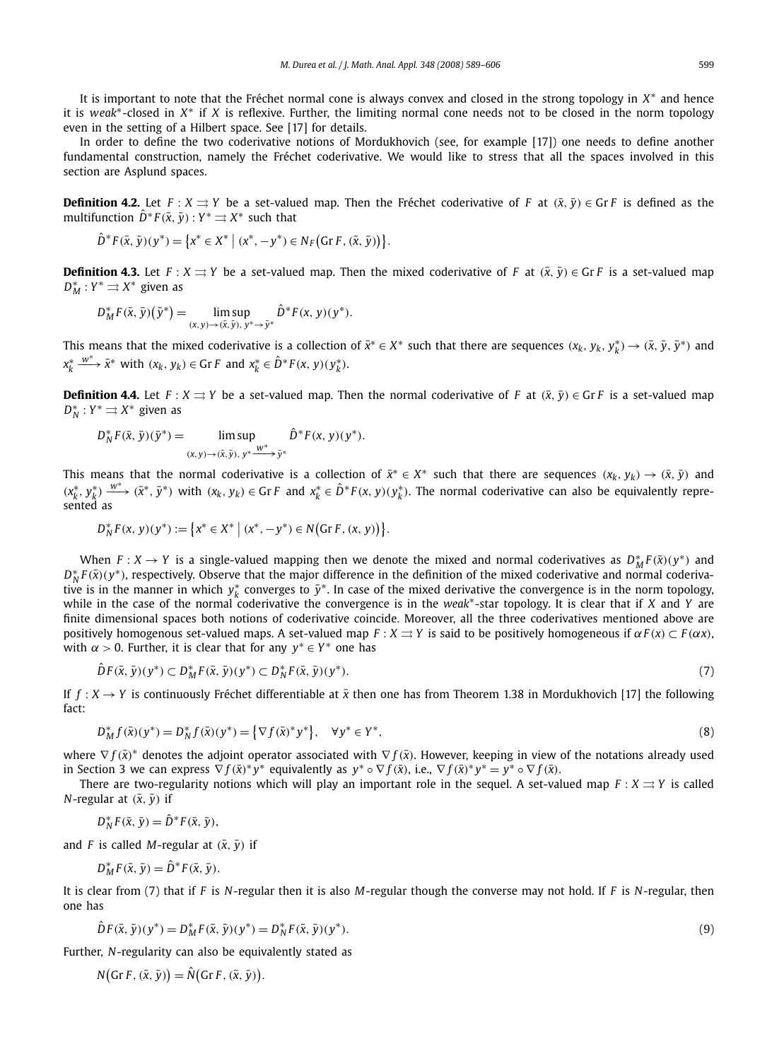It is important to note that the Fréchet normal cone is always convex and closed in the strong topology in  $X^*$  and hence it is *weak*<sup>∗</sup> -closed in *X* ∗ if *X* is reflexive. Further, the limiting normal cone needs not to be closed in the norm topology even in the setting of a Hilbert space. See [17] for details.

In order to define the two coderivative notions of Mordukhovich (see, for example [17]) one needs to define another fundamental construction, namely the Fréchet coderivative. We would like to stress that all the spaces involved in this section are Asplund spaces.

**Definition 4.2.** Let  $F : X \rightrightarrows Y$  be a set-valued map. Then the Fréchet coderivative of *F* at  $(\bar{x}, \bar{y}) \in \text{Gr } F$  is defined as the  $\hat{D}^*F(\bar{x},\bar{y}):Y^*\rightrightarrows X^*$  such that

$$
\hat{D}^*F(\bar{x}, \bar{y})(y^*) = \left\{x^* \in X^* \mid (x^*, -y^*) \in N_F(\text{Gr } F, (\bar{x}, \bar{y}))\right\}.
$$

**Definition 4.3.** Let  $F : X \rightrightarrows Y$  be a set-valued map. Then the mixed coderivative of *F* at  $(\bar{x}, \bar{y}) \in G \cap F$  is a set-valued map  $D_M^* : Y^* \rightrightarrows X^*$  given as

$$
D_M^* F(\bar{x}, \bar{y}) (\bar{y}^*) = \limsup_{(x, y) \to (\bar{x}, \bar{y}), y^* \to \bar{y}^*} \hat{D}^* F(x, y) (y^*).
$$

This means that the mixed coderivative is a collection of  $\bar{x}^* \in X^*$  such that there are sequences  $(x_k, y_k, y_k^*) \to (\bar{x}, \bar{y}, \bar{y}^*)$  and  $x_k^* \xrightarrow{w^*} \bar{x}^*$  with  $(x_k, y_k) \in \text{Gr } F$  and  $x_k^* \in \hat{D}^* F(x, y)(y_k^*).$ 

**Definition 4.4.** Let  $F : X \rightrightarrows Y$  be a set-valued map. Then the normal coderivative of *F* at  $(\bar{x}, \bar{y}) \in \mathbb{G}rF$  is a set-valued map  $D_N^*: Y^* \rightrightarrows X^*$  given as

$$
D_N^* F(\bar{x}, \bar{y})(\bar{y}^*) = \limsup_{(x, y) \to (\bar{x}, \bar{y}), y^* \xrightarrow{W^*} \bar{y}^*} \hat{D}^* F(x, y)(y^*).
$$

This means that the normal coderivative is a collection of  $\bar{x}^* \in X^*$  such that there are sequences  $(x_k, y_k) \to (\bar{x}, \bar{y})$  and  $(x_k^*, y_k^*) \xrightarrow{w^*} (\bar{x}^*, \bar{y}^*)$  with  $(x_k, y_k) \in \text{Gr } F$  and  $x_k^* \in \hat{D}^*F(x, y)(y_k^*)$ . The normal coderivative can also be equivalently represented as

$$
D_N^* F(x, y)(y^*) := \{x^* \in X^* \mid (x^*, -y^*) \in N(\text{Gr } F, (x, y))\}.
$$

When  $F: X \to Y$  is a single-valued mapping then we denote the mixed and normal coderivatives as  $D_M^* F(\bar{x})(y^*)$  and  $D_N^*F(\bar{x})(y^*)$ , respectively. Observe that the major difference in the definition of the mixed coderivative and normal coderivative is in the manner in which  $y_k^*$  converges to  $\bar{y}^*$ . In case of the mixed derivative the convergence is in the norm topology, while in the case of the normal coderivative the convergence is in the *weak*<sup>∗</sup>-star topology. It is clear that if *X* and *Y* are finite dimensional spaces both notions of coderivative coincide. Moreover, all the three coderivatives mentioned above are positively homogenous set-valued maps. A set-valued map *F* : *X* ⇒ *Y* is said to be positively homogeneous if α*F* (*x*) ⊂ *F* (α*x*), with  $\alpha > 0$ . Further, it is clear that for any  $y^* \in Y^*$  one has

$$
\hat{D}F(\bar{x}, \bar{y})(y^*) \subset D_M^*F(\bar{x}, \bar{y})(y^*) \subset D_N^*F(\bar{x}, \bar{y})(y^*).
$$
\n(7)

If  $f: X \to Y$  is continuously Fréchet differentiable at  $\bar{x}$  then one has from Theorem 1.38 in Mordukhovich [17] the following fact:

$$
D_M^* f(\bar{x})(y^*) = D_N^* f(\bar{x})(y^*) = \left\{ \nabla f(\bar{x})^* y^* \right\}, \quad \forall y^* \in Y^*,
$$
\n(8)

where  $\nabla f(\bar{x})^*$  denotes the adjoint operator associated with  $\nabla f(\bar{x})$ . However, keeping in view of the notations already used in Section 3 we can express  $\nabla f(\bar{x})^* y^*$  equivalently as  $y^* \circ \nabla f(\bar{x})$ , i.e.,  $\nabla f(\bar{x})^* y^* = y^* \circ \nabla f(\bar{x})$ .

There are two-regularity notions which will play an important role in the sequel. A set-valued map  $F : X \rightrightarrows Y$  is called *N*-regular at  $(\bar{x}, \bar{y})$  if

$$
D_N^*F(\bar{x}, \bar{y}) = \hat{D}^*F(\bar{x}, \bar{y}),
$$

and *F* is called *M*-regular at  $(\bar{x}, \bar{y})$  if

$$
D_M^* F(\bar{x}, \bar{y}) = \hat{D}^* F(\bar{x}, \bar{y}).
$$

It is clear from (7) that if *F* is *N*-regular then it is also *M*-regular though the converse may not hold. If *F* is *N*-regular, then one has

$$
\hat{D}F(\bar{x}, \bar{y})(y^*) = D_M^*F(\bar{x}, \bar{y})(y^*) = D_N^*F(\bar{x}, \bar{y})(y^*).
$$
\n(9)

Further, *N*-regularity can also be equivalently stated as

$$
N(\text{Gr } F, (\bar{x}, \bar{y})) = \hat{N}(\text{Gr } F, (\bar{x}, \bar{y})).
$$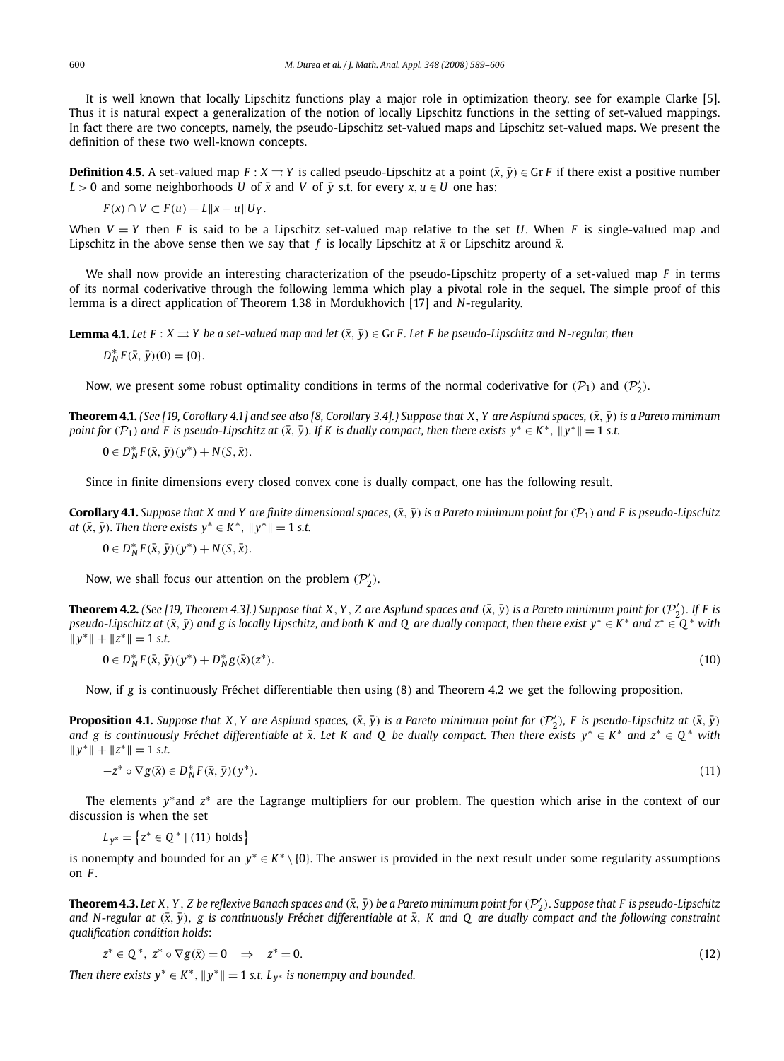It is well known that locally Lipschitz functions play a major role in optimization theory, see for example Clarke [5]. Thus it is natural expect a generalization of the notion of locally Lipschitz functions in the setting of set-valued mappings. In fact there are two concepts, namely, the pseudo-Lipschitz set-valued maps and Lipschitz set-valued maps. We present the definition of these two well-known concepts.

**Definition 4.5.** A set-valued map  $F : X \rightrightarrows Y$  is called pseudo-Lipschitz at a point  $(\bar{x}, \bar{y}) \in GF$  if there exist a positive number *L* > 0 and some neighborhoods *U* of  $\bar{x}$  and *V* of  $\bar{y}$  s.t. for every *x*, *u*  $\in$  *U* one has:

$$
F(x) \cap V \subset F(u) + L ||x - u|| U_Y.
$$

When  $V = Y$  then *F* is said to be a Lipschitz set-valued map relative to the set *U*. When *F* is single-valued map and Lipschitz in the above sense then we say that *f* is locally Lipschitz at  $\bar{x}$  or Lipschitz around  $\bar{x}$ .

We shall now provide an interesting characterization of the pseudo-Lipschitz property of a set-valued map *F* in terms of its normal coderivative through the following lemma which play a pivotal role in the sequel. The simple proof of this lemma is a direct application of Theorem 1.38 in Mordukhovich [17] and *N*-regularity.

**Lemma 4.1.** *Let*  $F : X \rightrightarrows Y$  *be a set-valued map and let*  $(\bar{x}, \bar{y}) \in GrF$ *. Let* F *be pseudo-Lipschitz and N-regular, then* 

 $D_N^* F(\bar{x}, \bar{y}) (0) = \{0\}.$ 

Now, we present some robust optimality conditions in terms of the normal coderivative for  $(\mathcal{P}_1)$  and  $(\mathcal{P}'_2)$ .

**Theorem 4.1.** *(See [19, Corollary 4.1] and see also [8, Corollary 3.4].) Suppose that X, Y are Asplund spaces,*  $(\bar{x}, \bar{y})$  *is a Pareto minimum point for*  $(P_1)$  and F is pseudo-Lipschitz at  $(\bar{x}, \bar{y})$ . If K is dually compact, then there exists  $y^* \in K^*$ ,  $||y^*|| = 1$  s.t.

 $0 \in D_N^* F(\bar{x}, \bar{y})(y^*) + N(S, \bar{x}).$ 

Since in finite dimensions every closed convex cone is dually compact, one has the following result.

**Corollary 4.1.** *Suppose that X and Y are finite dimensional spaces,*  $(\bar{x}, \bar{y})$  *is a Pareto minimum point for*  $(\mathcal{P}_1)$  *and F is pseudo-Lipschitz at*  $(\bar{x}, \bar{y})$ *. Then there exists*  $y^* \in K^*$ ,  $||y^*|| = 1$  *s.t.* 

 $0 \in D_N^* F(\bar{x}, \bar{y})(y^*) + N(S, \bar{x}).$ 

Now, we shall focus our attention on the problem  $(\mathcal{P}'_2)$ .

**Theorem 4.2.** (See [19, Theorem 4.3].) Suppose that X, Y , Z are Asplund spaces and  $(\bar{x}, \bar{y})$  is a Pareto minimum point for  $(\mathcal{P}'_2)$ . If F is  $p$ seudo-Lipschitz at  $(\bar{x},\bar{y})$  and  $g$  is locally Lipschitz, and both K and Q are dually compact, then there exist  $y^* \in K^*$  and  $z^* \in \mathbb{Q}^*$  with  $||y^*|| + ||z^*|| = 1$  *s.t.* 

 $0 \in D_N^* F(\bar{x}, \bar{y})(y^*) + D_N^* g(\bar{x})(z^*)$ ).  $(10)$ 

Now, if *g* is continuously Fréchet differentiable then using (8) and Theorem 4.2 we get the following proposition.

**Proposition 4.1.** Suppose that X, Y are Asplund spaces,  $(\bar{x}, \bar{y})$  is a Pareto minimum point for  $(\mathcal{P}'_2)$ , F is pseudo-Lipschitz at  $(\bar{x}, \bar{y})$ *and g is continuously Fréchet differentiable at x*¯. *Let K and Q be dually compact. Then there exists y*<sup>∗</sup> ∈ *K* ∗ *and z*<sup>∗</sup> ∈ *Q* <sup>∗</sup> *with*  $||y^*|| + ||z^*|| = 1$  *s.t.* 

$$
-z^* \circ \nabla g(\bar{x}) \in D_N^* F(\bar{x}, \bar{y})(y^*).
$$

).  $(11)$ 

The elements y<sup>\*</sup> and *z*<sup>\*</sup> are the Lagrange multipliers for our problem. The question which arise in the context of our discussion is when the set

 $L_{y^*} = \{z^* \in \mathbb{Q}^* \mid (11) \text{ holds}\}\$ 

is nonempty and bounded for an  $y^* \in K^* \setminus \{0\}$ . The answer is provided in the next result under some regularity assumptions on *F* .

 ${\bf Theorem 4.3.}$  Let  $X,Y,Z$  be reflexive Banach spaces and  $(\bar{x},\bar{y})$  be a Pareto minimum point for  $(\mathcal{P}'_2)$ . Suppose that F is pseudo-Lipschitz and N-regular at  $(\bar{x}, \bar{y})$ , g is continuously Fréchet differentiable at  $\bar{x}$ , *K* and *Q* are dually compact and the following constraint *qualification condition holds*:

$$
z^* \in \mathbb{Q}^*, \ z^* \circ \nabla g(\bar{x}) = 0 \quad \Rightarrow \quad z^* = 0. \tag{12}
$$

*Then there exists*  $y^* \in K^*$ ,  $||y^*|| = 1$  *s.t.*  $L_{y^*}$  *is nonempty and bounded.*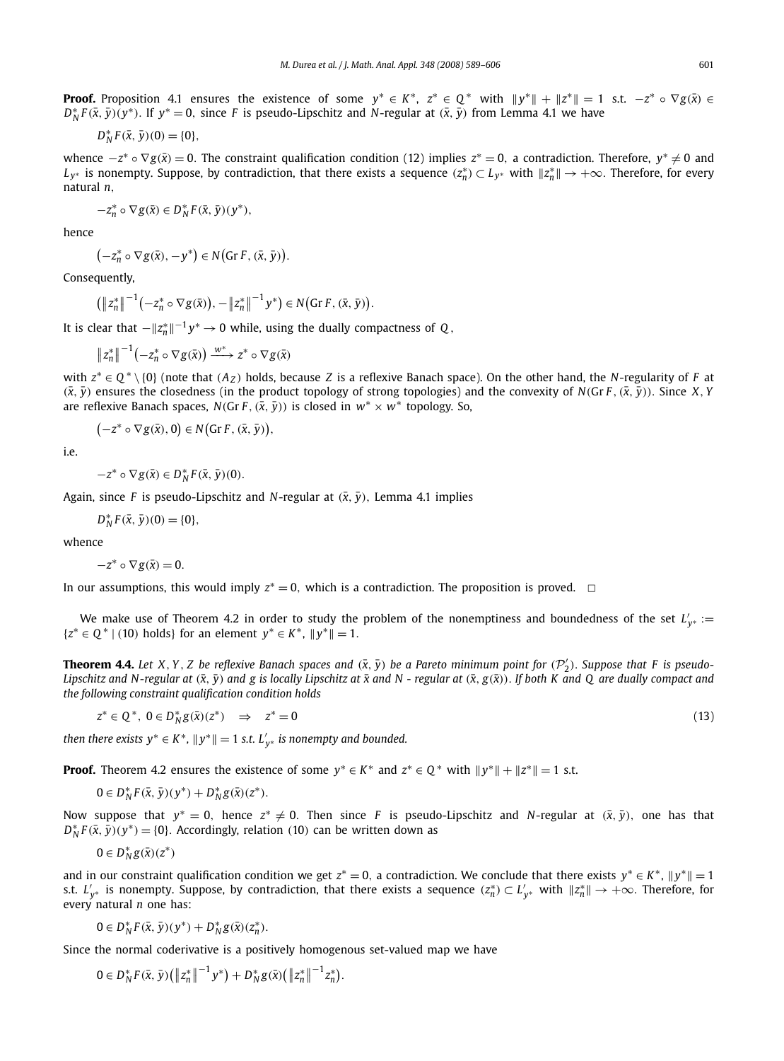**Proof.** Proposition 4.1 ensures the existence of some  $y^* \in K^*$ ,  $z^* \in Q^*$  with  $||y^*|| + ||z^*|| = 1$  s.t.  $-z^* \circ \nabla g(\bar{x}) \in Q$  $D_N^* F(\bar{x}, \bar{y})(y^*)$ . If  $y^* = 0$ , since *F* is pseudo-Lipschitz and *N*-regular at  $(\bar{x}, \bar{y})$  from Lemma 4.1 we have

$$
D_N^* F(\bar{x}, \bar{y})(0) = \{0\},\,
$$

whence  $-z^* \circ \nabla g(\bar{x}) = 0$ . The constraint qualification condition (12) implies  $z^* = 0$ , a contradiction. Therefore,  $y^* \neq 0$  and  $L_{y^*}$  is nonempty. Suppose, by contradiction, that there exists a sequence  $(z_n^*)\subset L_{y^*}$  with  $\|z_n^*\|\to+\infty$ . Therefore, for every natural *n*,

$$
-z_n^* \circ \nabla g(\bar{x}) \in D_N^* F(\bar{x}, \bar{y})(y^*),
$$

hence

$$
(-z_n^* \circ \nabla g(\bar{x}), -y^*) \in N(\text{Gr } F, (\bar{x}, \bar{y})).
$$

Consequently,

$$
\left(\left\|z_{n}^{*}\right\|^{-1}\left(-z_{n}^{*}\circ\nabla g(\bar{x})\right),-\left\|z_{n}^{*}\right\|^{-1}y^{*}\right)\in N(\text{Gr }F, (\bar{x}, \bar{y})).
$$

It is clear that  $-||z_n^*||^{-1}y^* \to 0$  while, using the dually compactness of  $Q$ ,

$$
\|z_n^*\|^{-1}(-z_n^*\circ \nabla g(\bar{x}))\xrightarrow{w^*} z^*\circ \nabla g(\bar{x})
$$

with  $z^* \in Q^* \setminus \{0\}$  (note that  $(A_Z)$  holds, because Z is a reflexive Banach space). On the other hand, the *N*-regularity of F at  $(\bar{x}, \bar{y})$  ensures the closedness (in the product topology of strong topologies) and the convexity of *N*(Gr *F* ,  $(\bar{x}, \bar{y})$ ). Since *X*, *Y* are reflexive Banach spaces, *N*(Gr *F* , ( $\bar{x}$ ,  $\bar{y}$ )) is closed in  $w^* \times w^*$  topology. So,

$$
(-z^* \circ \nabla g(\bar{x}), 0) \in N\big(\text{Gr } F, (\bar{x}, \bar{y})\big),
$$

i.e.

$$
-z^*\circ\nabla g(\bar x)\in D_N^*F(\bar x,\bar y)(0).
$$

Again, since *F* is pseudo-Lipschitz and *N*-regular at  $(\bar{x}, \bar{y})$ , Lemma 4.1 implies

$$
D_N^*F(\bar{x}, \bar{y})(0) = \{0\},\,
$$

whence

 $-z^* \circ \nabla g(\bar{x}) = 0.$ 

In our assumptions, this would imply  $z^* = 0$ , which is a contradiction. The proposition is proved.  $\Box$ 

We make use of Theorem 4.2 in order to study the problem of the nonemptiness and boundedness of the set  $L'_{y^*} :=$ { $z^*$  ∈  $Q^*$  | (10) holds} for an element  $y^*$  ∈  $K^*$ ,  $||y^*|| = 1$ .

**Theorem 4.4.** Let X, Y, Z be reflexive Banach spaces and  $(\bar{x},\bar{y})$  be a Pareto minimum point for  $(\mathcal{P}'_2)$ . Suppose that F is pseudo-*Lipschitz and N-regular at*  $(\bar{x}, \bar{y})$  *and g is locally Lipschitz at*  $\bar{x}$  *and N - regular at*  $(\bar{x}, g(\bar{x}))$ . *If both K and Q are dually compact and the following constraint qualification condition holds*

*z*<sup>\*</sup> ∈ *Q*<sup>\*</sup>, 0 ∈ *D*<sub>N</sub><sup>\*</sup>*g*( $\bar{x}$ )(*z*<sup>\*</sup>) ⇒ *z*  $* = 0$  (13)

then there exists  $y^* \in K^*$ ,  $||y^*|| = 1$  s.t.  $L'_{y^*}$  is nonempty and bounded.

**Proof.** Theorem 4.2 ensures the existence of some  $y^* \in K^*$  and  $z^* \in Q^*$  with  $||y^*|| + ||z^*|| = 1$  s.t.

 $0 \in D_N^* F(\bar{x}, \bar{y})(y^*) + D_N^* g(\bar{x})(z^*)$ .

Now suppose that  $y^* = 0$ , hence  $z^* \neq 0$ . Then since *F* is pseudo-Lipschitz and *N*-regular at  $(\bar{x}, \bar{y})$ , one has that  $D_N^* F(\bar{x}, \bar{y})(y^*) = \{0\}$ . Accordingly, relation (10) can be written down as

$$
0\in D^*_Ng(\bar x)(z^*)
$$

and in our constraint qualification condition we get  $z^* = 0$ , a contradiction. We conclude that there exists  $y^* \in K^*$ ,  $||y^*|| = 1$ s.t.  $L'_{y^*}$  is nonempty. Suppose, by contradiction, that there exists a sequence  $(z_n^*) \subset L'_{y^*}$  with  $||z_n^*|| \to +\infty$ . Therefore, for every natural *n* one has:

 $0 \in D_N^* F(\bar{x}, \bar{y})(y^*) + D_N^* g(\bar{x})(z_n^*)$ .

Since the normal coderivative is a positively homogenous set-valued map we have

$$
0\in D_N^*F(\bar{x},\bar{y})\big(\left\|z_n^*\right\|^{-1}y^*\big)+D_N^*g(\bar{x})\big(\left\|z_n^*\right\|^{-1}z_n^*\big).
$$

$$
(13)
$$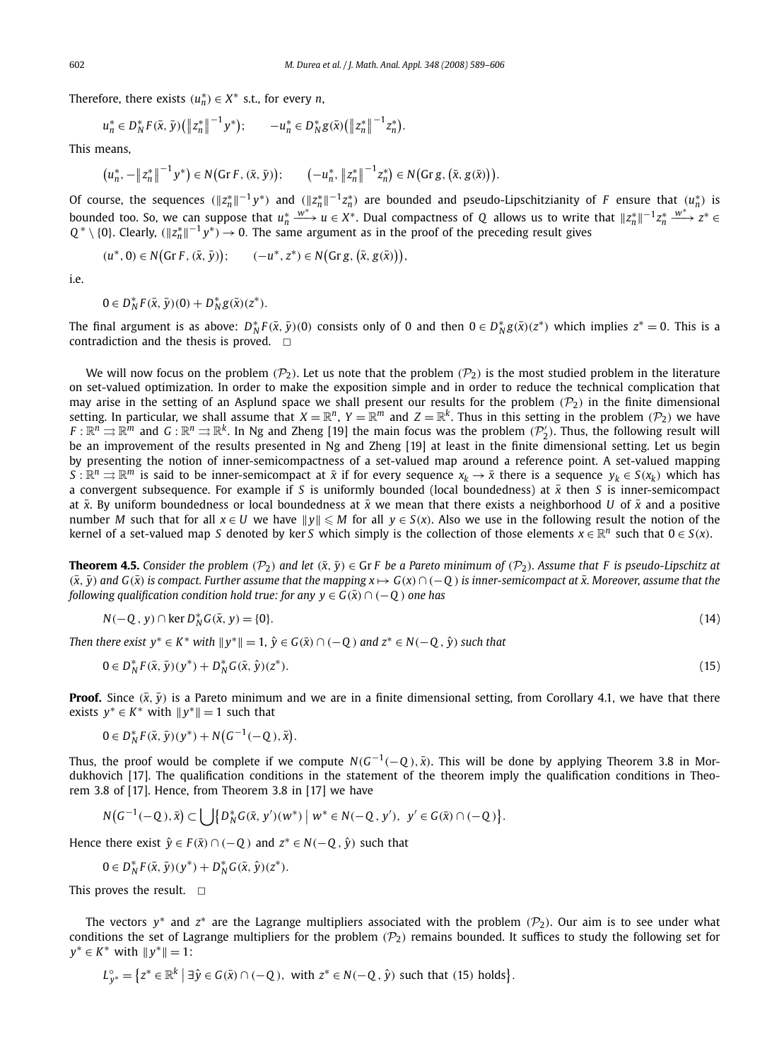Therefore, there exists  $(u_n^*) \in X^*$  s.t., for every *n*,

$$
u_n^* \in D_N^* F(\bar{x}, \bar{y}) \big( \big\| z_n^* \big\|^{-1} y^* \big); \qquad -u_n^* \in D_N^* g(\bar{x}) \big( \big\| z_n^* \big\|^{-1} z_n^* \big).
$$

This means,

$$
(u_n^*, -||z_n^*||^{-1}y^*) \in N(\text{Gr } F, (\bar{x}, \bar{y})); \qquad (-u_n^*, ||z_n^*||^{-1}z_n^*) \in N(\text{Gr } g, (\bar{x}, g(\bar{x}))).
$$

Of course, the sequences  $(\|z_n^*\|^{-1}y^*)$  and  $(\|z_n^*\|^{-1}z_n^*)$  are bounded and pseudo-Lipschitzianity of *F* ensure that  $(u_n^*)$  is bounded too. So, we can suppose that  $u_n^* \xrightarrow{w^*} u \in X^*$ . Dual compactness of *Q* allows us to write that  $||z_n^*||^{-1}z_n^* \xrightarrow{w^*} z^* \in$  $Q^* \setminus \{0\}$ . Clearly,  $(\|z^*_n\|^{-1}y^*) \to 0$ . The same argument as in the proof of the preceding result gives

$$
(u^*, 0) \in N\big(\text{Gr } F, (\bar{x}, \bar{y})\big); \qquad (-u^*, z^*) \in N\big(\text{Gr } g, (\bar{x}, g(\bar{x})\big)\big),
$$

i.e.

$$
0 \in D_N^* F(\bar{x}, \bar{y})(0) + D_N^* g(\bar{x})(z^*).
$$

The final argument is as above:  $D_N^*F(\bar{x}, \bar{y})(0)$  consists only of 0 and then  $0 \in D_N^*g(\bar{x})(z^*)$  which implies  $z^* = 0$ . This is a contradiction and the thesis is proved.  $\Box$ 

We will now focus on the problem ( $\mathcal{P}_2$ ). Let us note that the problem ( $\mathcal{P}_2$ ) is the most studied problem in the literature on set-valued optimization. In order to make the exposition simple and in order to reduce the technical complication that may arise in the setting of an Asplund space we shall present our results for the problem  $(\mathcal{P}_2)$  in the finite dimensional setting. In particular, we shall assume that  $X=\mathbb{R}^n$ ,  $Y=\mathbb{R}^m$  and  $Z=\mathbb{R}^k$ . Thus in this setting in the problem  $(\mathcal{P}_2)$  we have  $F:\mathbb{R}^n \rightrightarrows \mathbb{R}^m$  and  $G:\mathbb{R}^n \rightrightarrows \mathbb{R}^k$ . In Ng and Zheng [19] the main focus was the problem  $(\mathcal{P}'_2)$ . Thus, the following result will be an improvement of the results presented in Ng and Zheng [19] at least in the finite dimensional setting. Let us begin by presenting the notion of inner-semicompactness of a set-valued map around a reference point. A set-valued mapping  $S:\mathbb{R}^n\to\mathbb{R}^m$  is said to be inner-semicompact at  $\bar{x}$  if for every sequence  $x_k\to\bar{x}$  there is a sequence  $y_k\in S(x_k)$  which has a convergent subsequence. For example if *S* is uniformly bounded (local boundedness) at *x*¯ then *S* is inner-semicompact at  $\bar{x}$ . By uniform boundedness or local boundedness at  $\bar{x}$  we mean that there exists a neighborhood *U* of  $\bar{x}$  and a positive number *M* such that for all  $x \in U$  we have  $||y|| \le M$  for all  $y \in S(x)$ . Also we use in the following result the notion of the kernel of a set-valued map *S* denoted by ker *S* which simply is the collection of those elements  $x \in \mathbb{R}^n$  such that  $0 \in S(x)$ .

**Theorem 4.5.** *Consider the problem* ( $\mathcal{P}_2$ ) *and let* ( $\bar{x}$ ,  $\bar{y}$ )  $\in$  Gr *F be a Pareto minimum of* ( $\mathcal{P}_2$ )*. Assume that F* is pseudo-Lipschitz at  $(\bar{x}, \bar{y})$  and  $G(\bar{x})$  is compact. Further assume that the mapping  $x \mapsto G(x) \cap (-Q)$  is inner-semicompact at  $\bar{x}$ . Moreover, assume that the *following qualification condition hold true: for any*  $y \in G(\bar{x}) \cap (-Q)$  *one has* 

$$
N(-Q, y) \cap \ker D_N^* G(\bar{x}, y) = \{0\}.
$$
\n<sup>(14)</sup>

*Then there exist y*<sup>∗</sup> ∈ *K*<sup>∗</sup> *with*  $||y$ <sup>∗</sup> $|| = 1$ ,  $\hat{y} \in G(\bar{x}) \cap (-Q)$  and  $z$ <sup>∗</sup> ∈ *N*(−*Q* ,  $\hat{y}$ ) *such that* 

$$
0 \in D_N^* F(\bar{x}, \bar{y})(y^*) + D_N^* G(\bar{x}, \hat{y})(z^*).
$$
\n(15)

**Proof.** Since  $(\bar{x}, \bar{y})$  is a Pareto minimum and we are in a finite dimensional setting, from Corollary 4.1, we have that there exists  $y^* \in K^*$  with  $||y^*|| = 1$  such that

 $0 \in D_N^* F(\bar{x}, \bar{y})(y^*) + N(G^{-1}(-Q), \bar{x}).$ 

Thus, the proof would be complete if we compute  $N(G^{-1}(-Q), \bar{x})$ . This will be done by applying Theorem 3.8 in Mordukhovich [17]. The qualification conditions in the statement of the theorem imply the qualification conditions in Theorem 3.8 of [17]. Hence, from Theorem 3.8 in [17] we have

$$
N(G^{-1}(-Q), \bar{x}) \subset \bigcup \{ D_N^* G(\bar{x}, y')(w^*) \mid w^* \in N(-Q, y'), y' \in G(\bar{x}) \cap (-Q) \}.
$$

Hence there exist  $\hat{y} \in F(\bar{x}) \cap (-Q)$  and  $z^* \in N(-Q, \hat{y})$  such that

$$
0 \in D_N^* F(\bar{x}, \bar{y})(y^*) + D_N^* G(\bar{x}, \hat{y})(z^*).
$$

This proves the result.  $\square$ 

The vectors  $y^*$  and  $z^*$  are the Lagrange multipliers associated with the problem  $(\mathcal{P}_2)$ . Our aim is to see under what conditions the set of Lagrange multipliers for the problem  $(\mathcal{P}_2)$  remains bounded. It suffices to study the following set for  $y^* \in K^*$  with  $||y^*|| = 1$ :

 $L_{y^*}^{\circ} = \{ z^* \in \mathbb{R}^k \mid \exists \hat{y} \in G(\bar{x}) \cap (-Q), \text{ with } z^* \in N(-Q, \hat{y}) \text{ such that (15) holds} \}.$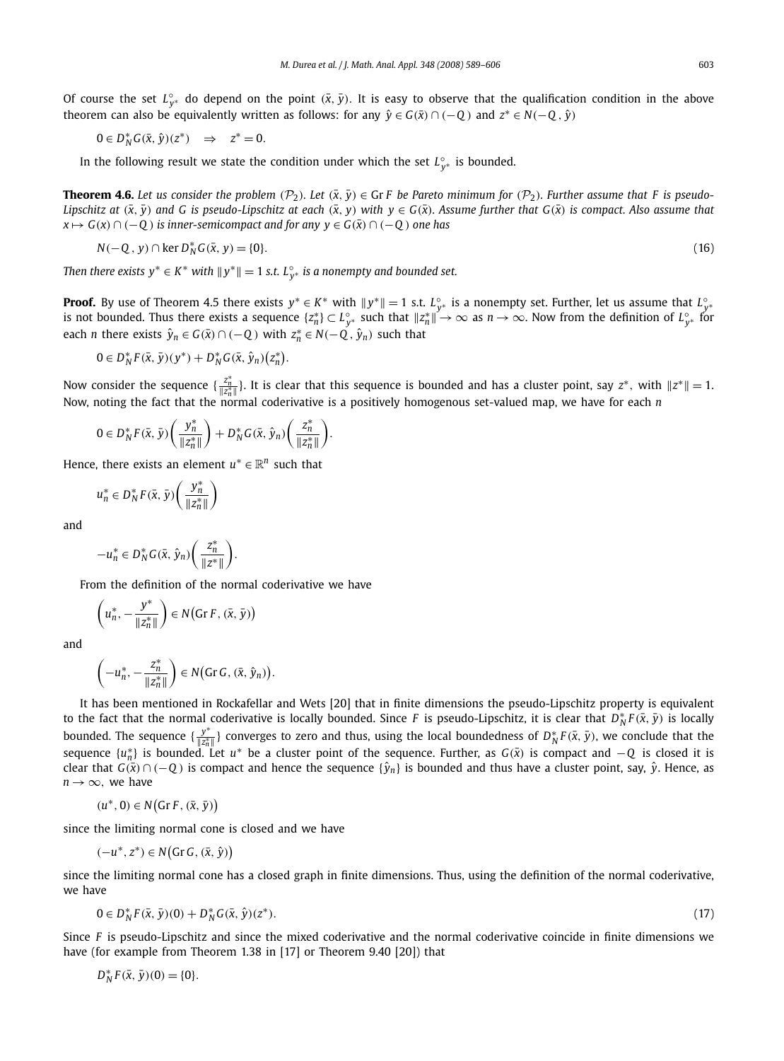Of course the set  $L_{y^*}^{\circ}$  do depend on the point  $(\bar{x}, \bar{y})$ . It is easy to observe that the qualification condition in the above theorem can also be equivalently written as follows: for any  $\hat{y} \in G(\bar{x}) \cap (-Q)$  and  $z^* \in N(-Q, \hat{y})$ 

$$
0\in D_N^*G(\bar x,\hat y)(z^*)\quad\Rightarrow\quad z^*=0.
$$

In the following result we state the condition under which the set  $L_{y^*}^{\circ}$  is bounded.

**Theorem 4.6.** Let us consider the problem  $(\mathcal{P}_2)$ . Let  $(\bar{x}, \bar{y}) \in \text{Gr } F$  be Pareto minimum for  $(\mathcal{P}_2)$ . Further assume that F is pseudo-*Lipschitz at* ( $\bar{x}$ ,  $\bar{y}$ ) and G is pseudo-Lipschitz at each ( $\bar{x}$ ,  $y$ ) with  $y \in G(\bar{x})$ . Assume further that  $G(\bar{x})$  is compact. Also assume that *x*  $\mapsto$  *G*(*x*) ∩ (−*Q*) *is inner-semicompact and for any y* ∈ *G*( $\bar{x}$ ) ∩ (−*Q*) *one has* 

$$
N(-Q, y) \cap \ker D_N^* G(\bar{x}, y) = \{0\}.
$$
\n<sup>(16)</sup>

*Then there exists*  $y^* ∈ K^*$  *with*  $||y^*|| = 1$  *s.t.*  $L_{y^*}^\circ$  *is a nonempty and bounded set.* 

**Proof.** By use of Theorem 4.5 there exists  $y^* \in K^*$  with  $||y^*|| = 1$  s.t.  $L_{y^*}^{\circ}$  is a nonempty set. Further, let us assume that  $L_{y^*}^{\circ}$ is not bounded. Thus there exists a sequence  $\{z_n^*\}\subset L_{y^*}^\circ$  such that  $\|z_n^*\| \to \infty$  as  $n\to\infty.$  Now from the definition of  $L_{y^*}^\circ$  for each *n* there exists  $\hat{y}_n \in G(\bar{x}) \cap (-Q)$  with  $z_n^* \in N(-Q, \hat{y}_n)$  such that

$$
0 \in D_N^* F(\bar{x}, \bar{y})(y^*) + D_N^* G(\bar{x}, \hat{y}_n)(z_n^*).
$$

Now consider the sequence  $\{\frac{z_n^*}{\|z_n^*\|}\}$ . It is clear that this sequence is bounded and has a cluster point, say  $z^*$ , with  $\|z^*\|=1$ . Now, noting the fact that the normal coderivative is a positively homogenous set-valued map, we have for each *n*

$$
0\in D_N^*F(\bar{x},\bar{y})\left(\frac{y_n^*}{\|z_n^*\|}\right)+D_N^*G(\bar{x},\hat{y}_n)\left(\frac{z_n^*}{\|z_n^*\|}\right).
$$

Hence, there exists an element  $u^* \in \mathbb{R}^n$  such that

$$
u_n^* \in D_N^*F(\bar{x}, \bar{y}) \left( \frac{y_n^*}{\|z_n^*\|} \right)
$$

and

$$
-u_n^* \in D_N^*G(\bar{x}, \hat{y}_n)\left(\frac{z_n^*}{\|z^*\|}\right).
$$

From the definition of the normal coderivative we have

$$
\left(u_n^*, -\frac{y^*}{\|z_n^*\|}\right) \in N\big(\text{Gr }F, (\bar{x}, \bar{y})\big)
$$

and

$$
\left(-u_n^*, -\frac{z_n^*}{\|z_n^*\|}\right) \in N\big(\text{Gr }G, (\bar{x}, \hat{y}_n)\big).
$$

It has been mentioned in Rockafellar and Wets [20] that in finite dimensions the pseudo-Lipschitz property is equivalent to the fact that the normal coderivative is locally bounded. Since *F* is pseudo-Lipschitz, it is clear that  $D_N^*F(\bar{x}, \bar{y})$  is locally bounded. The sequence  $\{\frac{y^*}{\|z^*\|}\}$  $\frac{y^*}{\|z^*_n\|}$ } converges to zero and thus, using the local boundedness of *D*<sup>\*</sup><sub>N</sub>F( $\bar{x}$ ,  $\bar{y}$ ), we conclude that the sequence  $\{u_n^*\}$  is bounded. Let  $u^*$  be a cluster point of the sequence. Further, as  $G(\bar{x})$  is compact and  $-Q$  is closed it is *clear that*  $G(\bar{x}) \cap (-Q)$  is compact and hence the sequence  $\{\hat{y}_n\}$  is bounded and thus have a cluster point, say,  $\hat{y}$ . Hence, as  $n \rightarrow \infty$ , we have

$$
(u^*,0) \in N\big(\text{Gr } F, (\bar{x}, \bar{y})\big)
$$

since the limiting normal cone is closed and we have

$$
(-u^*, z^*) \in N\big(\text{Gr }G, (\bar{x}, \hat{y})\big)
$$

since the limiting normal cone has a closed graph in finite dimensions. Thus, using the definition of the normal coderivative, we have

$$
0 \in D_N^* F(\bar{x}, \bar{y})(0) + D_N^* G(\bar{x}, \hat{y})(z^*).
$$

Since *F* is pseudo-Lipschitz and since the mixed coderivative and the normal coderivative coincide in finite dimensions we have (for example from Theorem 1.38 in [17] or Theorem 9.40 [20]) that

 $D_N^* F(\bar{x}, \bar{y}) (0) = \{0\}.$ 

).  $(17)$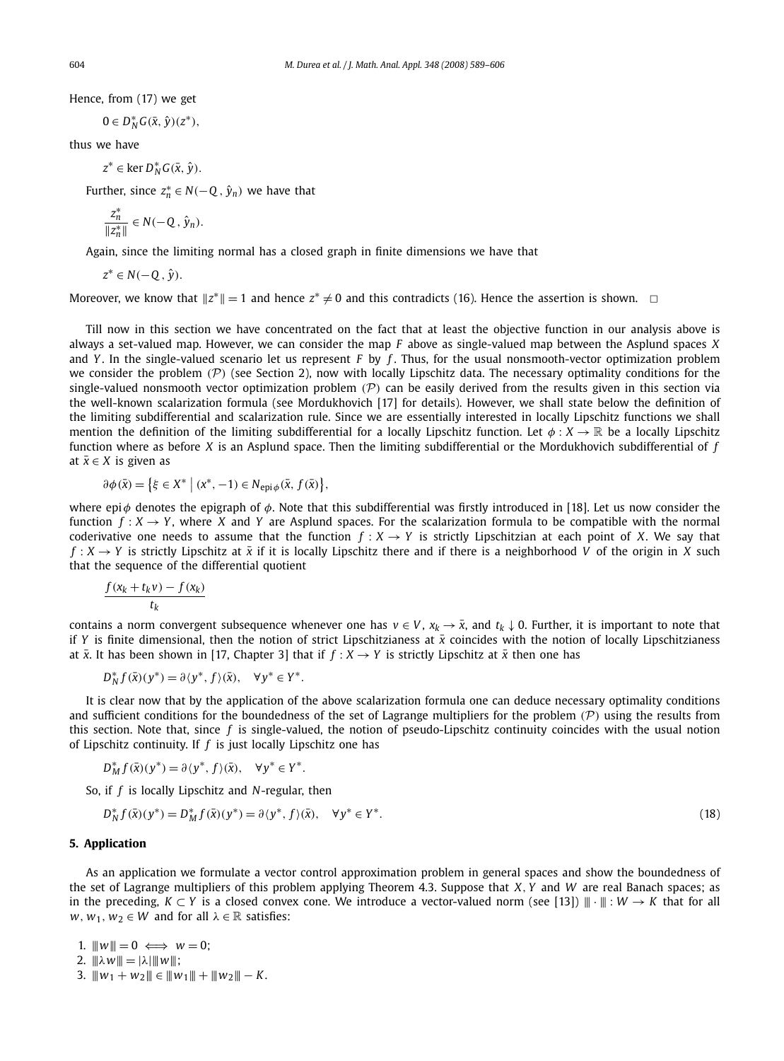Hence, from (17) we get

$$
0\in D_N^*G(\bar{x},\hat{y})(z^*),
$$

thus we have

 $z^* \in \text{ker } D_N^* G(\bar{x}, \hat{y}).$ 

Further, since  $z_n^* \in N(-Q, \hat{y}_n)$  we have that

$$
\frac{z_n^*}{\|z_n^*\|} \in N(-Q, \hat{y}_n).
$$

Again, since the limiting normal has a closed graph in finite dimensions we have that

*z* <sup>∗</sup> ∈ *N*(−*Q* , *y*ˆ).

Moreover, we know that  $||z^*|| = 1$  and hence  $z^* \neq 0$  and this contradicts (16). Hence the assertion is shown.  $\Box$ 

Till now in this section we have concentrated on the fact that at least the objective function in our analysis above is always a set-valued map. However, we can consider the map *F* above as single-valued map between the Asplund spaces *X* and *Y*. In the single-valued scenario let us represent *F* by *f*. Thus, for the usual nonsmooth-vector optimization problem we consider the problem  $(\mathcal{P})$  (see Section 2), now with locally Lipschitz data. The necessary optimality conditions for the single-valued nonsmooth vector optimization problem  $(P)$  can be easily derived from the results given in this section via the well-known scalarization formula (see Mordukhovich [17] for details). However, we shall state below the definition of the limiting subdifferential and scalarization rule. Since we are essentially interested in locally Lipschitz functions we shall mention the definition of the limiting subdifferential for a locally Lipschitz function. Let  $\phi: X \to \mathbb{R}$  be a locally Lipschitz function where as before *X* is an Asplund space. Then the limiting subdifferential or the Mordukhovich subdifferential of *f* at  $\bar{x} \in X$  is given as

$$
\partial \phi(\bar{x}) = \left\{ \xi \in X^* \mid (x^*, -1) \in N_{\text{epi}\phi}(\bar{x}, f(\bar{x}) \right\},\
$$

where epi $\phi$  denotes the epigraph of  $\phi$ . Note that this subdifferential was firstly introduced in [18]. Let us now consider the function  $f: X \to Y$ , where *X* and *Y* are Asplund spaces. For the scalarization formula to be compatible with the normal coderivative one needs to assume that the function  $f : X \to Y$  is strictly Lipschitzian at each point of *X*. We say that  $f: X \to Y$  is strictly Lipschitz at  $\bar{x}$  if it is locally Lipschitz there and if there is a neighborhood *V* of the origin in *X* such that the sequence of the differential quotient

$$
\frac{f(x_k + t_k v) - f(x_k)}{t_k}
$$

contains a norm convergent subsequence whenever one has  $v \in V$ ,  $x_k \to \bar{x}$ , and  $t_k \downarrow 0$ . Further, it is important to note that if *Y* is finite dimensional, then the notion of strict Lipschitzianess at  $\bar{x}$  coincides with the notion of locally Lipschitzianess at  $\bar{x}$ . It has been shown in [17, Chapter 3] that if  $f : X \to Y$  is strictly Lipschitz at  $\bar{x}$  then one has

$$
D_N^* f(\bar{x})(y^*) = \partial \langle y^*, f \rangle(\bar{x}), \quad \forall y^* \in Y^*.
$$

It is clear now that by the application of the above scalarization formula one can deduce necessary optimality conditions and sufficient conditions for the boundedness of the set of Lagrange multipliers for the problem  $(P)$  using the results from this section. Note that, since *f* is single-valued, the notion of pseudo-Lipschitz continuity coincides with the usual notion of Lipschitz continuity. If *f* is just locally Lipschitz one has

$$
D_M^* f(\bar{x})(y^*) = \partial \langle y^*, f \rangle(\bar{x}), \quad \forall y^* \in Y^*.
$$

So, if *f* is locally Lipschitz and *N*-regular, then

$$
D_N^* f(\bar{x})(y^*) = D_M^* f(\bar{x})(y^*) = \partial \langle y^*, f \rangle(\bar{x}), \quad \forall y^* \in Y^*.
$$
\n(18)

### **5. Application**

As an application we formulate a vector control approximation problem in general spaces and show the boundedness of the set of Lagrange multipliers of this problem applying Theorem 4.3. Suppose that *X*, *Y* and *W* are real Banach spaces; as in the preceding, *K* ⊂ *Y* is a closed convex cone. We introduce a vector-valued norm (see [13])  $\| \cdot \| : W \to K$  that for all *w*,  $w_1, w_2 \in W$  and for all  $\lambda \in \mathbb{R}$  satisfies:

1.  $||w|| = 0 \iff w = 0$ ;

- 2.  $\|\lambda w\| = |\lambda| \|w\|;$
- 3.  $||w_1 + w_2|| \in ||w_1|| + ||w_2|| K$ .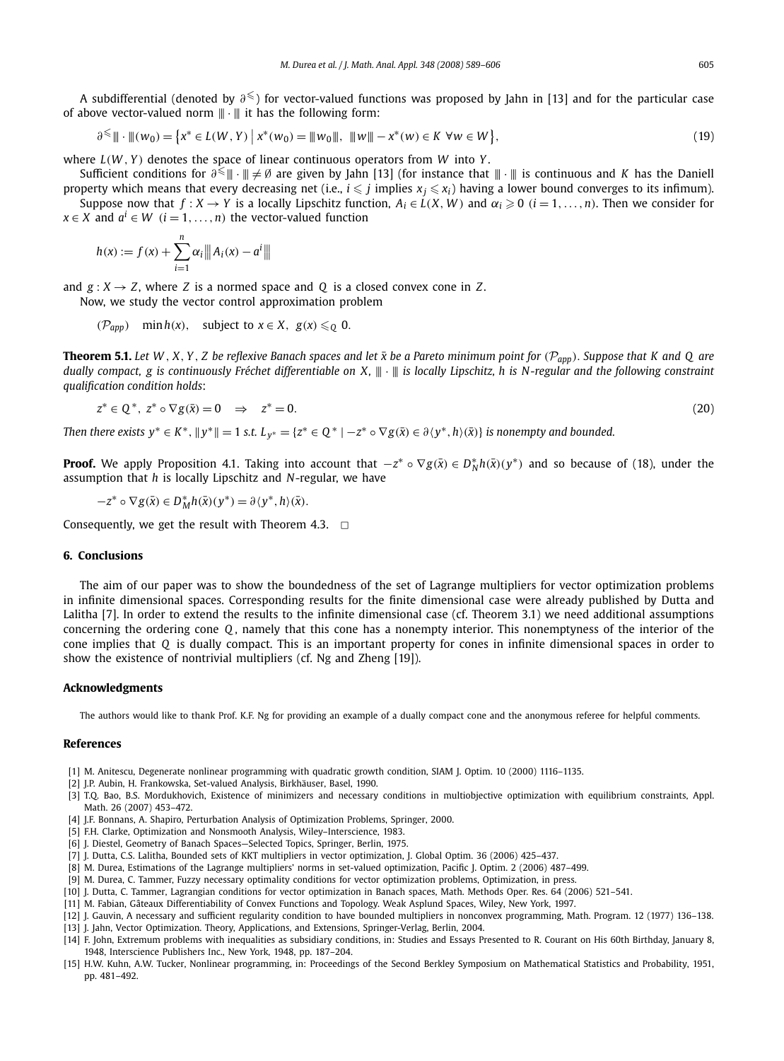A subdifferential (denoted by  $\partial^<$ ) for vector-valued functions was proposed by Jahn in [13] and for the particular case of above vector-valued norm  $\|\cdot\|$  it has the following form:

$$
\partial^{\leq} \|\cdot\|(\mathbf{w}_0) = \left\{ \mathbf{x}^* \in L(\mathbf{W}, Y) \; \middle| \; \mathbf{x}^*(\mathbf{w}_0) = \|\mathbf{w}_0\|, \; \|\mathbf{w}\| - \mathbf{x}^*(\mathbf{w}) \in K \; \forall \mathbf{w} \in \mathbf{W} \right\},\tag{19}
$$

where *L*(*W* , *Y* ) denotes the space of linear continuous operators from *W* into *Y* .

Sufficient conditions for  $\partial^<$  ||| + Ø are given by Jahn [13] (for instance that  $|\|\cdot|\|$  is continuous and *K* has the Daniell property which means that every decreasing net (i.e.,  $i\leqslant j$  implies  $x_j\leqslant x_i$ ) having a lower bound converges to its infimum). Suppose now that  $f: X \to Y$  is a locally Lipschitz function,  $A_i \in L(X, W)$  and  $\alpha_i \geq 0$   $(i = 1, \ldots, n)$ . Then we consider for

*x* ∈ *X* and  $a^i$  ∈ *W* (*i* = 1, ..., *n*) the vector-valued function

$$
h(x) := f(x) + \sum_{i=1}^{n} \alpha_i \| |A_i(x) - a^i\|
$$

and  $g: X \rightarrow Z$ , where *Z* is a normed space and *Q* is a closed convex cone in *Z*. Now, we study the vector control approximation problem

$$
(\mathcal{P}_{app}) \quad \min h(x), \quad \text{subject to } x \in X, \ g(x) \leqslant_{\mathbb{Q}} 0.
$$

**Theorem 5.1.** Let W, X, Y, Z be reflexive Banach spaces and let  $\bar{x}$  be a Pareto minimum point for  $(\mathcal{P}_{app})$ . Suppose that K and Q are *dually compact, g is continuously Fréchet differentiable on X,*  $\|\cdot\|$  *is locally Lipschitz, h is N-regular and the following constraint qualification condition holds*:

$$
z^* \in \mathbb{Q}^*, \ z^* \circ \nabla g(\bar{x}) = 0 \quad \Rightarrow \quad z^* = 0. \tag{20}
$$

Then there exists  $y^* \in K^*$ ,  $||y^*|| = 1$  s.t.  $L_{y^*} = \{z^* \in Q^* \mid -z^* \circ \nabla g(\bar{x}) \in \partial \langle y^*, h \rangle(\bar{x})\}$  is nonempty and bounded.

**Proof.** We apply Proposition 4.1. Taking into account that  $-z^* \circ \nabla g(\bar{x}) \in D_N^* h(\bar{x})(y^*)$  and so because of (18), under the assumption that *h* is locally Lipschitz and *N*-regular, we have

$$
-z^* \circ \nabla g(\bar{x}) \in D^*_{M}h(\bar{x})(y^*) = \partial \langle y^*, h \rangle(\bar{x}).
$$

Consequently, we get the result with Theorem 4.3.  $\Box$ 

## **6. Conclusions**

The aim of our paper was to show the boundedness of the set of Lagrange multipliers for vector optimization problems in infinite dimensional spaces. Corresponding results for the finite dimensional case were already published by Dutta and Lalitha [7]. In order to extend the results to the infinite dimensional case (cf. Theorem 3.1) we need additional assumptions concerning the ordering cone *Q* , namely that this cone has a nonempty interior. This nonemptyness of the interior of the cone implies that *Q* is dually compact. This is an important property for cones in infinite dimensional spaces in order to show the existence of nontrivial multipliers (cf. Ng and Zheng [19]).

#### **Acknowledgments**

The authors would like to thank Prof. K.F. Ng for providing an example of a dually compact cone and the anonymous referee for helpful comments.

#### **References**

- [1] M. Anitescu, Degenerate nonlinear programming with quadratic growth condition, SIAM J. Optim. 10 (2000) 1116–1135.
- [2] J.P. Aubin, H. Frankowska, Set-valued Analysis, Birkhäuser, Basel, 1990.
- [3] T.Q. Bao, B.S. Mordukhovich, Existence of minimizers and necessary conditions in multiobjective optimization with equilibrium constraints, Appl. Math. 26 (2007) 453–472.
- [4] J.F. Bonnans, A. Shapiro, Perturbation Analysis of Optimization Problems, Springer, 2000.
- [5] F.H. Clarke, Optimization and Nonsmooth Analysis, Wiley–Interscience, 1983.
- [6] J. Diestel, Geometry of Banach Spaces—Selected Topics, Springer, Berlin, 1975.
- [7] J. Dutta, C.S. Lalitha, Bounded sets of KKT multipliers in vector optimization, J. Global Optim. 36 (2006) 425–437.
- [8] M. Durea, Estimations of the Lagrange multipliers' norms in set-valued optimization, Pacific J. Optim. 2 (2006) 487–499.
- [9] M. Durea, C. Tammer, Fuzzy necessary optimality conditions for vector optimization problems, Optimization, in press.
- [10] J. Dutta, C. Tammer, Lagrangian conditions for vector optimization in Banach spaces, Math. Methods Oper. Res. 64 (2006) 521–541.
- [11] M. Fabian, Gâteaux Differentiability of Convex Functions and Topology. Weak Asplund Spaces, Wiley, New York, 1997.
- [12] J. Gauvin, A necessary and sufficient regularity condition to have bounded multipliers in nonconvex programming, Math. Program. 12 (1977) 136–138. [13] J. Jahn, Vector Optimization. Theory, Applications, and Extensions, Springer-Verlag, Berlin, 2004.
- [14] F. John, Extremum problems with inequalities as subsidiary conditions, in: Studies and Essays Presented to R. Courant on His 60th Birthday, January 8, 1948, Interscience Publishers Inc., New York, 1948, pp. 187–204.
- [15] H.W. Kuhn, A.W. Tucker, Nonlinear programming, in: Proceedings of the Second Berkley Symposium on Mathematical Statistics and Probability, 1951, pp. 481–492.